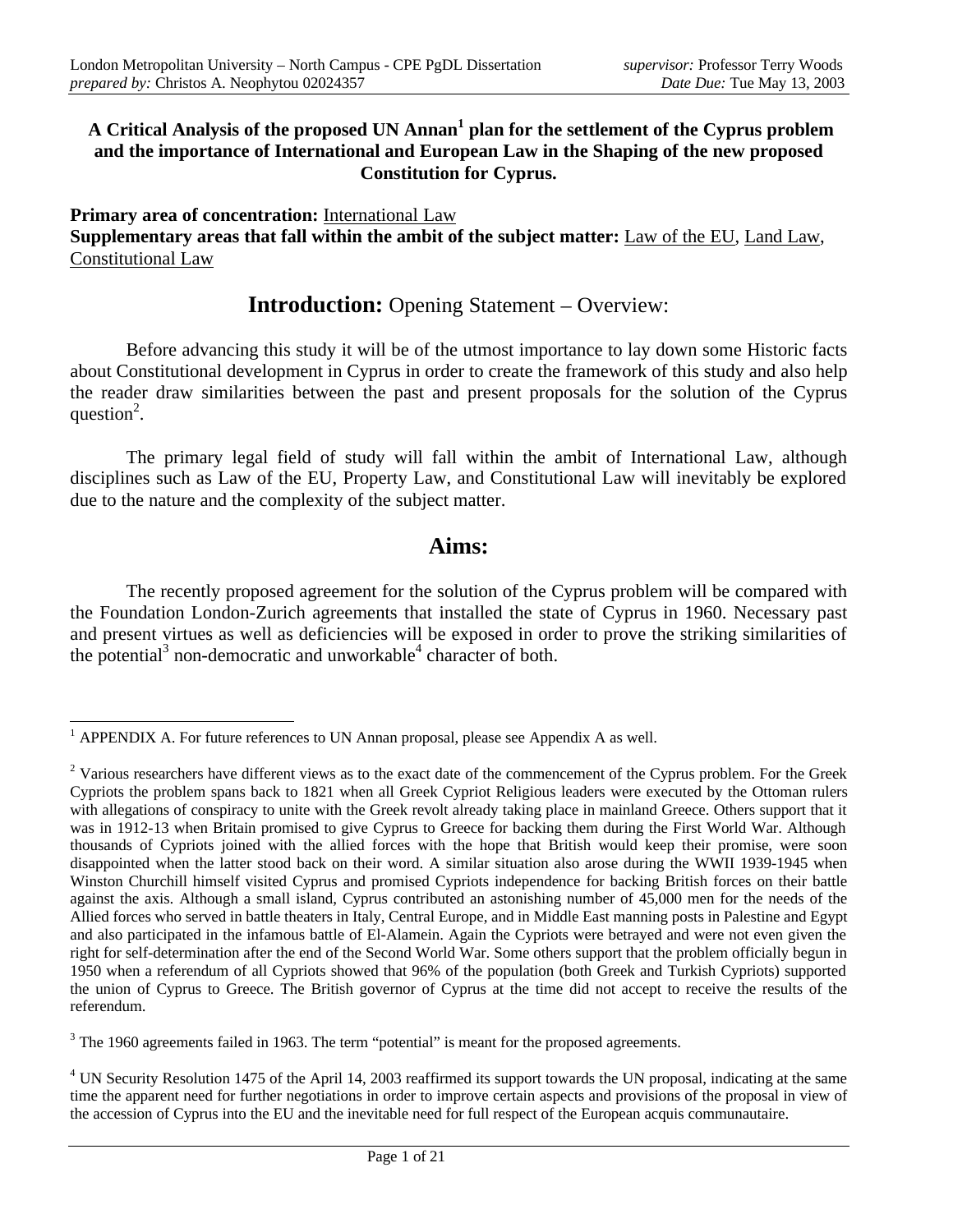#### **A Critical Analysis of the proposed UN Annan<sup>1</sup> plan for the settlement of the Cyprus problem and the importance of International and European Law in the Shaping of the new proposed Constitution for Cyprus.**

**Primary area of concentration:** International Law **Supplementary areas that fall within the ambit of the subject matter:** Law of the EU, Land Law, Constitutional Law

### **Introduction:** Opening Statement – Overview:

Before advancing this study it will be of the utmost importance to lay down some Historic facts about Constitutional development in Cyprus in order to create the framework of this study and also help the reader draw similarities between the past and present proposals for the solution of the Cyprus question<sup>2</sup>.

The primary legal field of study will fall within the ambit of International Law, although disciplines such as Law of the EU, Property Law, and Constitutional Law will inevitably be explored due to the nature and the complexity of the subject matter.

### **Aims:**

The recently proposed agreement for the solution of the Cyprus problem will be compared with the Foundation London-Zurich agreements that installed the state of Cyprus in 1960. Necessary past and present virtues as well as deficiencies will be exposed in order to prove the striking similarities of the potential<sup>3</sup> non-democratic and unworkable<sup>4</sup> character of both.

 $3$  The 1960 agreements failed in 1963. The term "potential" is meant for the proposed agreements.

<sup>&</sup>lt;sup>1</sup> APPENDIX A. For future references to UN Annan proposal, please see Appendix A as well.

 $2$  Various researchers have different views as to the exact date of the commencement of the Cyprus problem. For the Greek Cypriots the problem spans back to 1821 when all Greek Cypriot Religious leaders were executed by the Ottoman rulers with allegations of conspiracy to unite with the Greek revolt already taking place in mainland Greece. Others support that it was in 1912-13 when Britain promised to give Cyprus to Greece for backing them during the First World War. Although thousands of Cypriots joined with the allied forces with the hope that British would keep their promise, were soon disappointed when the latter stood back on their word. A similar situation also arose during the WWII 1939-1945 when Winston Churchill himself visited Cyprus and promised Cypriots independence for backing British forces on their battle against the axis. Although a small island, Cyprus contributed an astonishing number of 45,000 men for the needs of the Allied forces who served in battle theaters in Italy, Central Europe, and in Middle East manning posts in Palestine and Egypt and also participated in the infamous battle of El-Alamein. Again the Cypriots were betrayed and were not even given the right for self-determination after the end of the Second World War. Some others support that the problem officially begun in 1950 when a referendum of all Cypriots showed that 96% of the population (both Greek and Turkish Cypriots) supported the union of Cyprus to Greece. The British governor of Cyprus at the time did not accept to receive the results of the referendum.

<sup>&</sup>lt;sup>4</sup> UN Security Resolution 1475 of the April 14, 2003 reaffirmed its support towards the UN proposal, indicating at the same time the apparent need for further negotiations in order to improve certain aspects and provisions of the proposal in view of the accession of Cyprus into the EU and the inevitable need for full respect of the European acquis communautaire.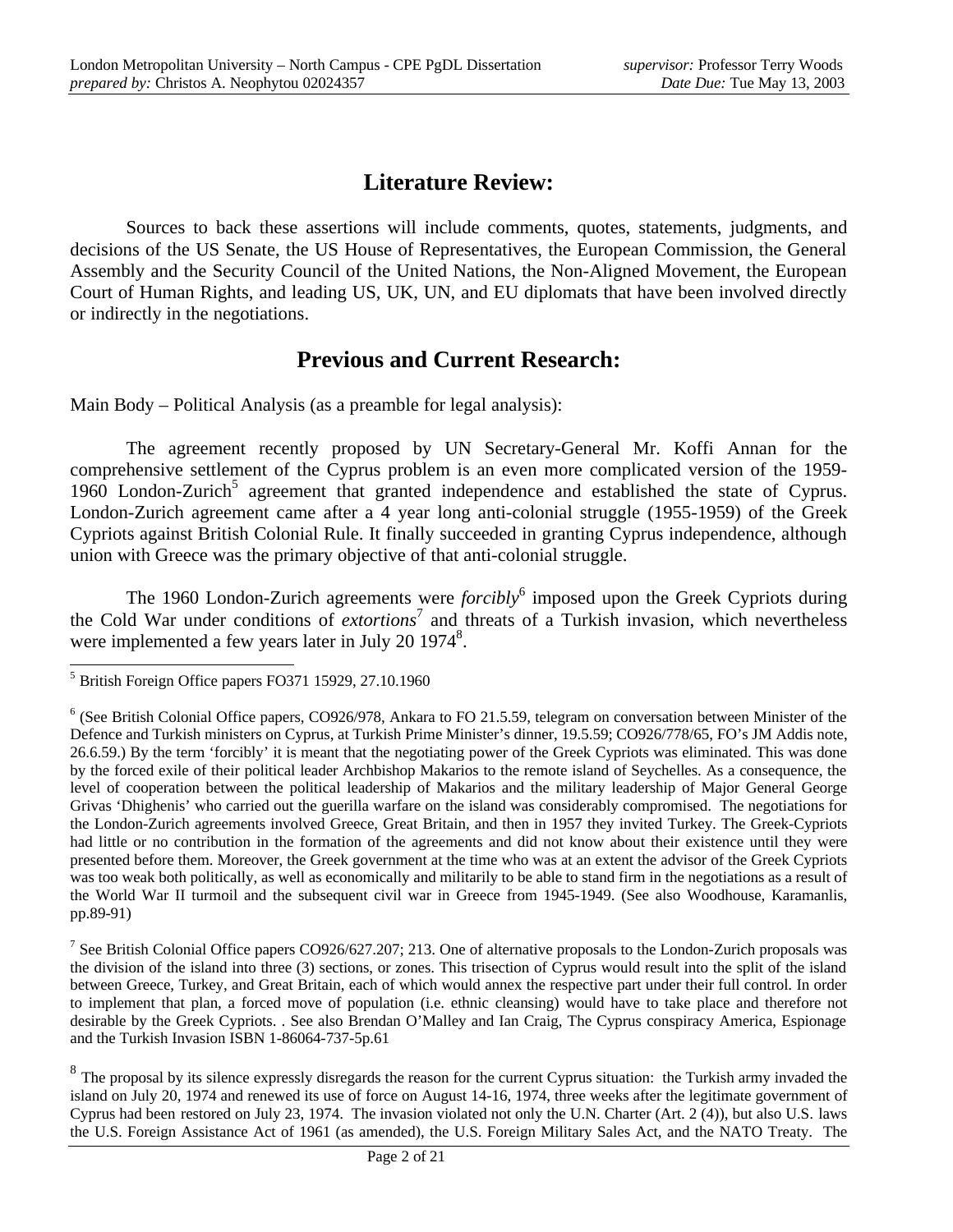# **Literature Review:**

Sources to back these assertions will include comments, quotes, statements, judgments, and decisions of the US Senate, the US House of Representatives, the European Commission, the General Assembly and the Security Council of the United Nations, the Non-Aligned Movement, the European Court of Human Rights, and leading US, UK, UN, and EU diplomats that have been involved directly or indirectly in the negotiations.

### **Previous and Current Research:**

Main Body – Political Analysis (as a preamble for legal analysis):

The agreement recently proposed by UN Secretary-General Mr. Koffi Annan for the comprehensive settlement of the Cyprus problem is an even more complicated version of the 1959- 1960 London-Zurich<sup>5</sup> agreement that granted independence and established the state of Cyprus. London-Zurich agreement came after a 4 year long anti-colonial struggle (1955-1959) of the Greek Cypriots against British Colonial Rule. It finally succeeded in granting Cyprus independence, although union with Greece was the primary objective of that anti-colonial struggle.

The 1960 London-Zurich agreements were *forcibly*<sup>6</sup> imposed upon the Greek Cypriots during the Cold War under conditions of *extortions*<sup>7</sup> and threats of a Turkish invasion, which nevertheless were implemented a few years later in July 20 1974<sup>8</sup>.

 5 British Foreign Office papers FO371 15929, 27.10.1960

<sup>&</sup>lt;sup>6</sup> (See British Colonial Office papers, CO926/978, Ankara to FO 21.5.59, telegram on conversation between Minister of the Defence and Turkish ministers on Cyprus, at Turkish Prime Minister's dinner, 19.5.59; CO926/778/65, FO's JM Addis note, 26.6.59.) By the term 'forcibly' it is meant that the negotiating power of the Greek Cypriots was eliminated. This was done by the forced exile of their political leader Archbishop Makarios to the remote island of Seychelles. As a consequence, the level of cooperation between the political leadership of Makarios and the military leadership of Major General George Grivas 'Dhighenis' who carried out the guerilla warfare on the island was considerably compromised. The negotiations for the London-Zurich agreements involved Greece, Great Britain, and then in 1957 they invited Turkey. The Greek-Cypriots had little or no contribution in the formation of the agreements and did not know about their existence until they were presented before them. Moreover, the Greek government at the time who was at an extent the advisor of the Greek Cypriots was too weak both politically, as well as economically and militarily to be able to stand firm in the negotiations as a result of the World War II turmoil and the subsequent civil war in Greece from 1945-1949. (See also Woodhouse, Karamanlis, pp.89-91)

<sup>&</sup>lt;sup>7</sup> See British Colonial Office papers CO926/627.207; 213. One of alternative proposals to the London-Zurich proposals was the division of the island into three (3) sections, or zones. This trisection of Cyprus would result into the split of the island between Greece, Turkey, and Great Britain, each of which would annex the respective part under their full control. In order to implement that plan, a forced move of population (i.e. ethnic cleansing) would have to take place and therefore not desirable by the Greek Cypriots. . See also Brendan O'Malley and Ian Craig, The Cyprus conspiracy America, Espionage and the Turkish Invasion ISBN 1-86064-737-5p.61

 $8$  The proposal by its silence expressly disregards the reason for the current Cyprus situation: the Turkish army invaded the island on July 20, 1974 and renewed its use of force on August 14-16, 1974, three weeks after the legitimate government of Cyprus had been restored on July 23, 1974. The invasion violated not only the U.N. Charter (Art. 2 (4)), but also U.S. laws the U.S. Foreign Assistance Act of 1961 (as amended), the U.S. Foreign Military Sales Act, and the NATO Treaty. The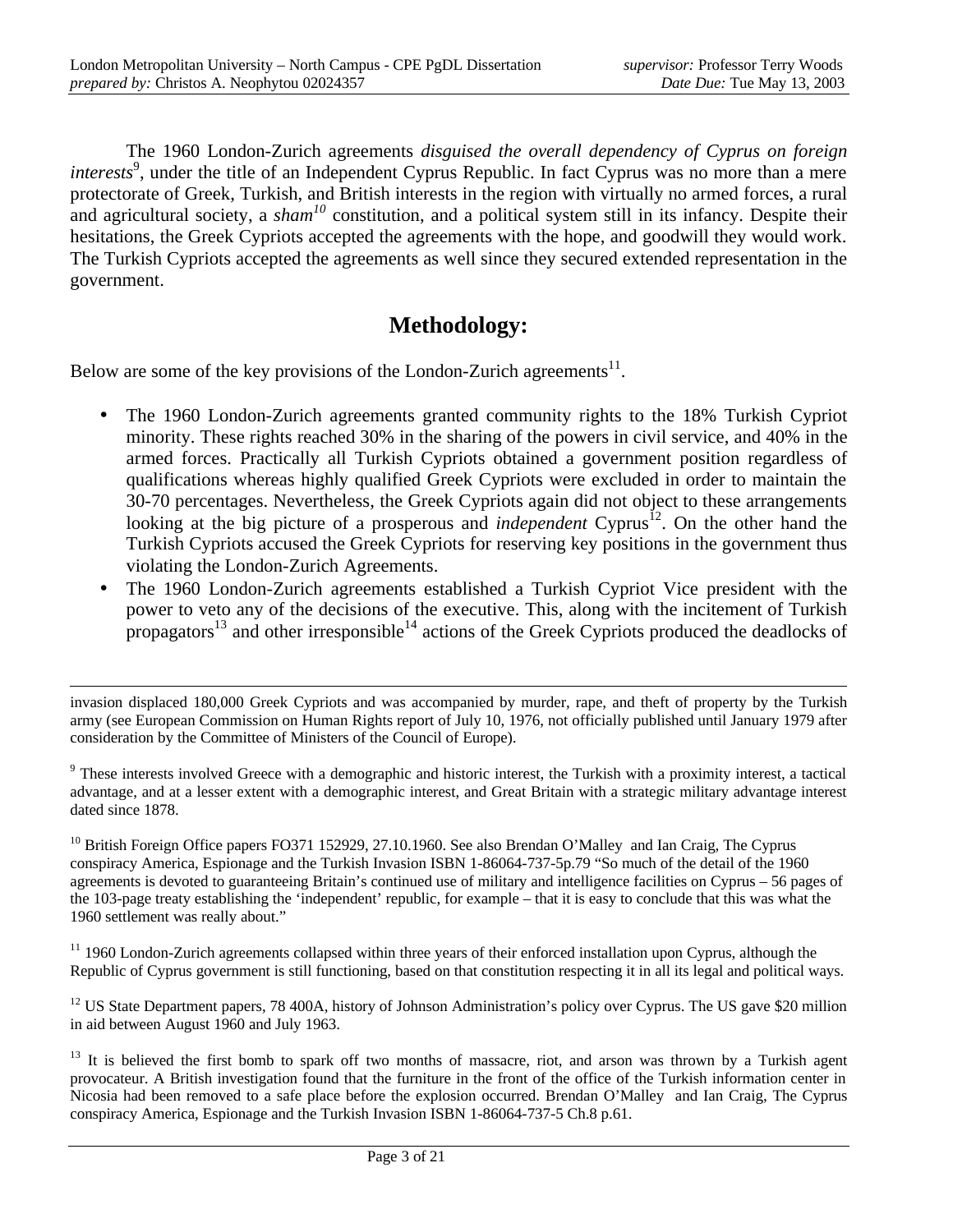The 1960 London-Zurich agreements *disguised the overall dependency of Cyprus on foreign interests*<sup>9</sup>, under the title of an Independent Cyprus Republic. In fact Cyprus was no more than a mere protectorate of Greek, Turkish, and British interests in the region with virtually no armed forces, a rural and agricultural society, a *sham<sup>10</sup>* constitution, and a political system still in its infancy. Despite their hesitations, the Greek Cypriots accepted the agreements with the hope, and goodwill they would work. The Turkish Cypriots accepted the agreements as well since they secured extended representation in the government.

### **Methodology:**

Below are some of the key provisions of the London-Zurich agreements $11$ .

- The 1960 London-Zurich agreements granted community rights to the 18% Turkish Cypriot minority. These rights reached 30% in the sharing of the powers in civil service, and 40% in the armed forces. Practically all Turkish Cypriots obtained a government position regardless of qualifications whereas highly qualified Greek Cypriots were excluded in order to maintain the 30-70 percentages. Nevertheless, the Greek Cypriots again did not object to these arrangements looking at the big picture of a prosperous and *independent* Cyprus<sup>12</sup>. On the other hand the Turkish Cypriots accused the Greek Cypriots for reserving key positions in the government thus violating the London-Zurich Agreements.
- The 1960 London-Zurich agreements established a Turkish Cypriot Vice president with the power to veto any of the decisions of the executive. This, along with the incitement of Turkish propagators<sup>13</sup> and other irresponsible<sup>14</sup> actions of the Greek Cypriots produced the deadlocks of

invasion displaced 180,000 Greek Cypriots and was accompanied by murder, rape, and theft of property by the Turkish army (see European Commission on Human Rights report of July 10, 1976, not officially published until January 1979 after consideration by the Committee of Ministers of the Council of Europe).

<sup>9</sup> These interests involved Greece with a demographic and historic interest, the Turkish with a proximity interest, a tactical advantage, and at a lesser extent with a demographic interest, and Great Britain with a strategic military advantage interest dated since 1878.

<sup>10</sup> British Foreign Office papers FO371 152929, 27.10.1960. See also Brendan O'Malley and Ian Craig, The Cyprus conspiracy America, Espionage and the Turkish Invasion ISBN 1-86064-737-5p.79 "So much of the detail of the 1960 agreements is devoted to guaranteeing Britain's continued use of military and intelligence facilities on Cyprus – 56 pages of the 103-page treaty establishing the 'independent' republic, for example – that it is easy to conclude that this was what the 1960 settlement was really about."

 $11$  1960 London-Zurich agreements collapsed within three years of their enforced installation upon Cyprus, although the Republic of Cyprus government is still functioning, based on that constitution respecting it in all its legal and political ways.

 $12$  US State Department papers, 78 400A, history of Johnson Administration's policy over Cyprus. The US gave \$20 million in aid between August 1960 and July 1963.

<sup>&</sup>lt;sup>13</sup> It is believed the first bomb to spark off two months of massacre, riot, and arson was thrown by a Turkish agent provocateur. A British investigation found that the furniture in the front of the office of the Turkish information center in Nicosia had been removed to a safe place before the explosion occurred. Brendan O'Malley and Ian Craig, The Cyprus conspiracy America, Espionage and the Turkish Invasion ISBN 1-86064-737-5 Ch.8 p.61.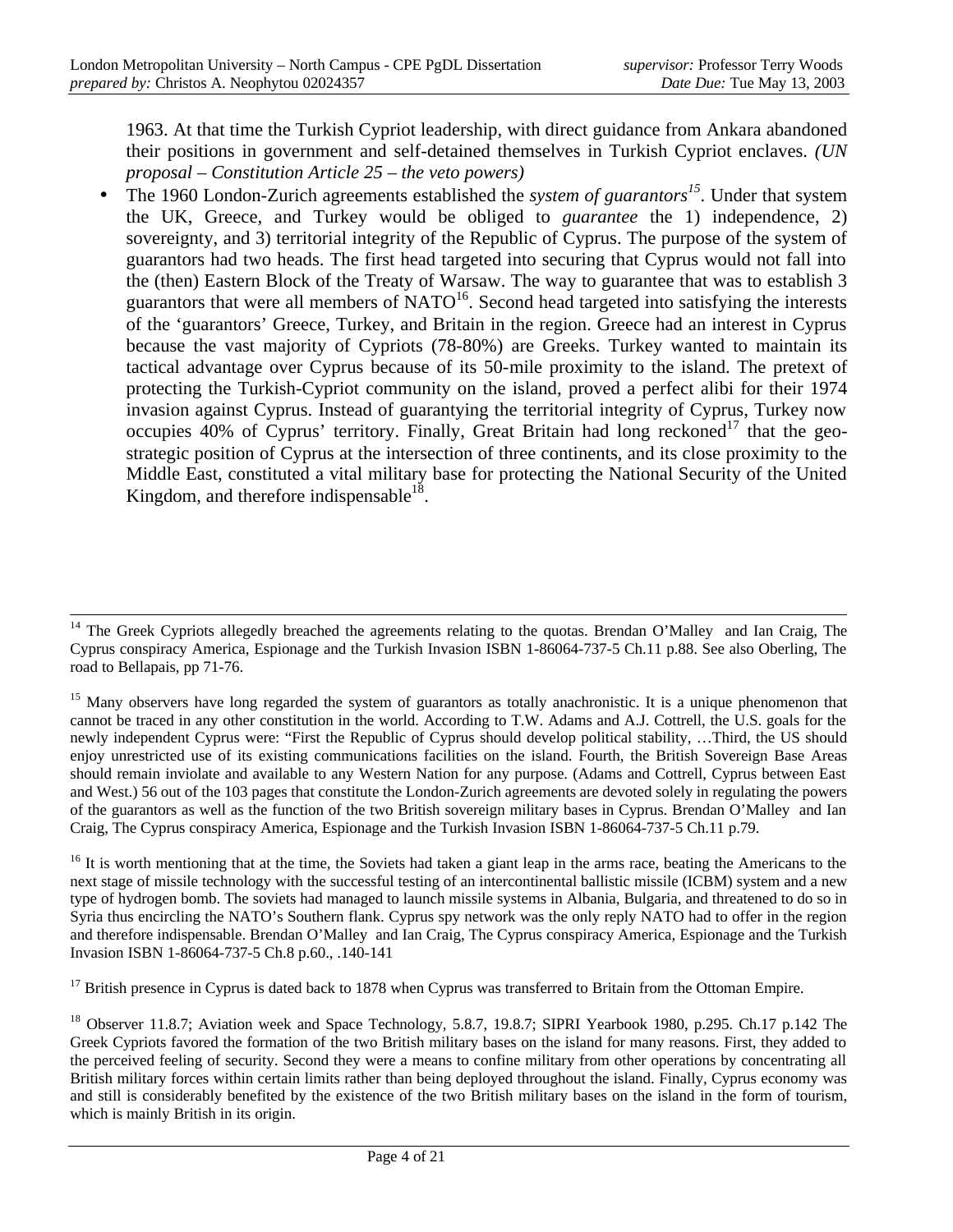-

1963. At that time the Turkish Cypriot leadership, with direct guidance from Ankara abandoned their positions in government and self-detained themselves in Turkish Cypriot enclaves. *(UN proposal – Constitution Article 25 – the veto powers)*

• The 1960 London-Zurich agreements established the *system of guarantors<sup>15</sup>*. Under that system the UK, Greece, and Turkey would be obliged to *guarantee* the 1) independence, 2) sovereignty, and 3) territorial integrity of the Republic of Cyprus. The purpose of the system of guarantors had two heads. The first head targeted into securing that Cyprus would not fall into the (then) Eastern Block of the Treaty of Warsaw. The way to guarantee that was to establish 3 guarantors that were all members of  $NATO^{16}$ . Second head targeted into satisfying the interests of the 'guarantors' Greece, Turkey, and Britain in the region. Greece had an interest in Cyprus because the vast majority of Cypriots (78-80%) are Greeks. Turkey wanted to maintain its tactical advantage over Cyprus because of its 50-mile proximity to the island. The pretext of protecting the Turkish-Cypriot community on the island, proved a perfect alibi for their 1974 invasion against Cyprus. Instead of guarantying the territorial integrity of Cyprus, Turkey now occupies 40% of Cyprus' territory. Finally, Great Britain had long reckoned<sup>17</sup> that the geostrategic position of Cyprus at the intersection of three continents, and its close proximity to the Middle East, constituted a vital military base for protecting the National Security of the United Kingdom, and therefore indispensable $^{18}$ .

<sup>16</sup> It is worth mentioning that at the time, the Soviets had taken a giant leap in the arms race, beating the Americans to the next stage of missile technology with the successful testing of an intercontinental ballistic missile (ICBM) system and a new type of hydrogen bomb. The soviets had managed to launch missile systems in Albania, Bulgaria, and threatened to do so in Syria thus encircling the NATO's Southern flank. Cyprus spy network was the only reply NATO had to offer in the region and therefore indispensable. Brendan O'Malley and Ian Craig, The Cyprus conspiracy America, Espionage and the Turkish Invasion ISBN 1-86064-737-5 Ch.8 p.60., .140-141

 $17$  British presence in Cyprus is dated back to 1878 when Cyprus was transferred to Britain from the Ottoman Empire.

<sup>&</sup>lt;sup>14</sup> The Greek Cypriots allegedly breached the agreements relating to the quotas. Brendan O'Malley and Ian Craig, The Cyprus conspiracy America, Espionage and the Turkish Invasion ISBN 1-86064-737-5 Ch.11 p.88. See also Oberling, The road to Bellapais, pp 71-76.

<sup>&</sup>lt;sup>15</sup> Many observers have long regarded the system of guarantors as totally anachronistic. It is a unique phenomenon that cannot be traced in any other constitution in the world. According to T.W. Adams and A.J. Cottrell, the U.S. goals for the newly independent Cyprus were: "First the Republic of Cyprus should develop political stability, …Third, the US should enjoy unrestricted use of its existing communications facilities on the island. Fourth, the British Sovereign Base Areas should remain inviolate and available to any Western Nation for any purpose. (Adams and Cottrell, Cyprus between East and West.) 56 out of the 103 pages that constitute the London-Zurich agreements are devoted solely in regulating the powers of the guarantors as well as the function of the two British sovereign military bases in Cyprus. Brendan O'Malley and Ian Craig, The Cyprus conspiracy America, Espionage and the Turkish Invasion ISBN 1-86064-737-5 Ch.11 p.79.

<sup>&</sup>lt;sup>18</sup> Observer 11.8.7; Aviation week and Space Technology, 5.8.7, 19.8.7; SIPRI Yearbook 1980, p.295. Ch.17 p.142 The Greek Cypriots favored the formation of the two British military bases on the island for many reasons. First, they added to the perceived feeling of security. Second they were a means to confine military from other operations by concentrating all British military forces within certain limits rather than being deployed throughout the island. Finally, Cyprus economy was and still is considerably benefited by the existence of the two British military bases on the island in the form of tourism, which is mainly British in its origin.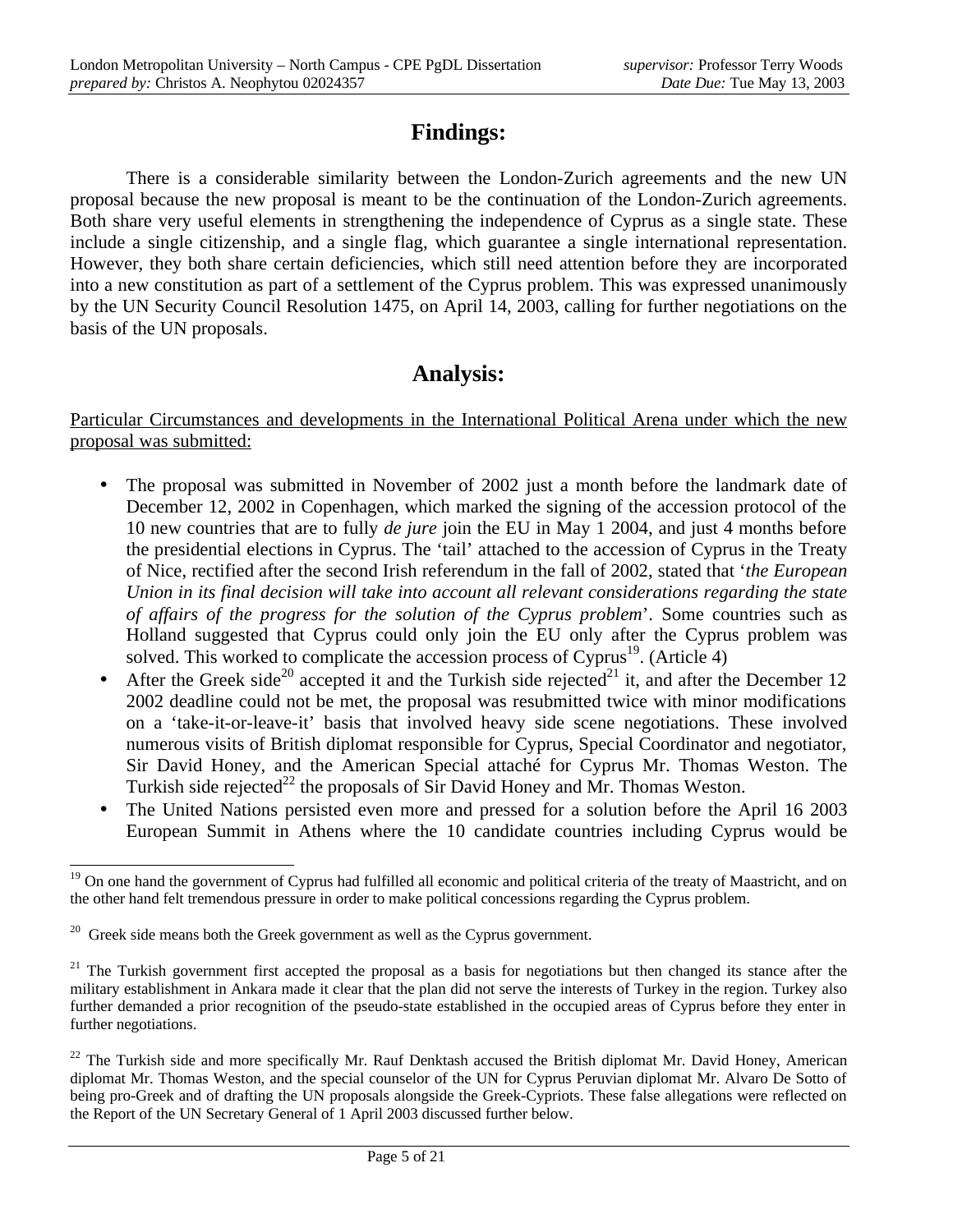# **Findings:**

There is a considerable similarity between the London-Zurich agreements and the new UN proposal because the new proposal is meant to be the continuation of the London-Zurich agreements. Both share very useful elements in strengthening the independence of Cyprus as a single state. These include a single citizenship, and a single flag, which guarantee a single international representation. However, they both share certain deficiencies, which still need attention before they are incorporated into a new constitution as part of a settlement of the Cyprus problem. This was expressed unanimously by the UN Security Council Resolution 1475, on April 14, 2003, calling for further negotiations on the basis of the UN proposals.

# **Analysis:**

Particular Circumstances and developments in the International Political Arena under which the new proposal was submitted:

- The proposal was submitted in November of 2002 just a month before the landmark date of December 12, 2002 in Copenhagen, which marked the signing of the accession protocol of the 10 new countries that are to fully *de jure* join the EU in May 1 2004, and just 4 months before the presidential elections in Cyprus. The 'tail' attached to the accession of Cyprus in the Treaty of Nice, rectified after the second Irish referendum in the fall of 2002, stated that '*the European Union in its final decision will take into account all relevant considerations regarding the state of affairs of the progress for the solution of the Cyprus problem*'. Some countries such as Holland suggested that Cyprus could only join the EU only after the Cyprus problem was solved. This worked to complicate the accession process of Cyprus<sup>19</sup>. (Article 4)
- After the Greek side<sup>20</sup> accepted it and the Turkish side rejected<sup>21</sup> it, and after the December 12 2002 deadline could not be met, the proposal was resubmitted twice with minor modifications on a 'take-it-or-leave-it' basis that involved heavy side scene negotiations. These involved numerous visits of British diplomat responsible for Cyprus, Special Coordinator and negotiator, Sir David Honey, and the American Special attaché for Cyprus Mr. Thomas Weston. The Turkish side rejected<sup>22</sup> the proposals of Sir David Honey and Mr. Thomas Weston.
- The United Nations persisted even more and pressed for a solution before the April 16 2003 European Summit in Athens where the 10 candidate countries including Cyprus would be

<sup>-</sup><sup>19</sup> On one hand the government of Cyprus had fulfilled all economic and political criteria of the treaty of Maastricht, and on the other hand felt tremendous pressure in order to make political concessions regarding the Cyprus problem.

 $20$  Greek side means both the Greek government as well as the Cyprus government.

<sup>&</sup>lt;sup>21</sup> The Turkish government first accepted the proposal as a basis for negotiations but then changed its stance after the military establishment in Ankara made it clear that the plan did not serve the interests of Turkey in the region. Turkey also further demanded a prior recognition of the pseudo-state established in the occupied areas of Cyprus before they enter in further negotiations.

 $^{22}$  The Turkish side and more specifically Mr. Rauf Denktash accused the British diplomat Mr. David Honey, American diplomat Mr. Thomas Weston, and the special counselor of the UN for Cyprus Peruvian diplomat Mr. Alvaro De Sotto of being pro-Greek and of drafting the UN proposals alongside the Greek-Cypriots. These false allegations were reflected on the Report of the UN Secretary General of 1 April 2003 discussed further below.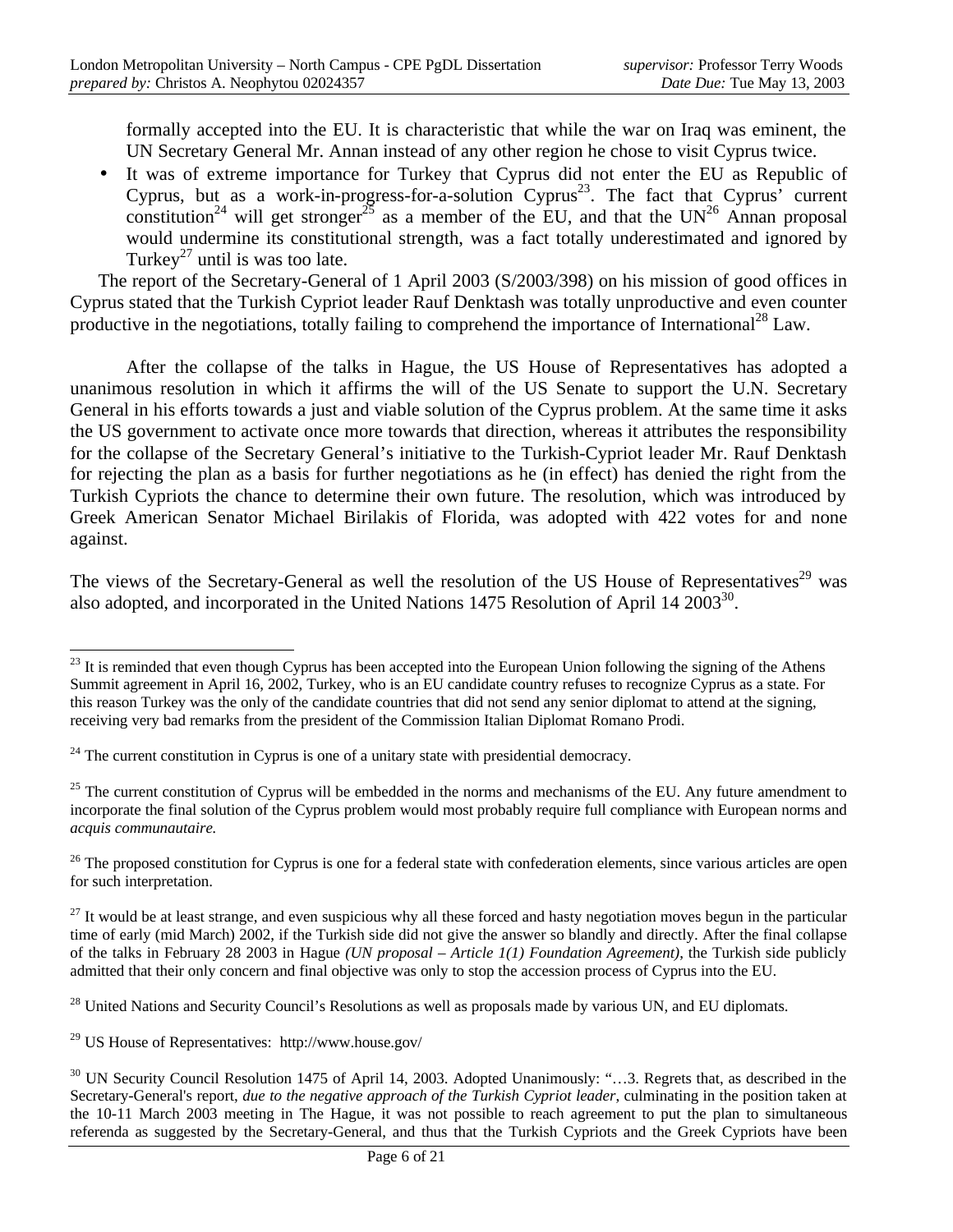formally accepted into the EU. It is characteristic that while the war on Iraq was eminent, the UN Secretary General Mr. Annan instead of any other region he chose to visit Cyprus twice.

• It was of extreme importance for Turkey that Cyprus did not enter the EU as Republic of Cyprus, but as a work-in-progress-for-a-solution Cyprus<sup>23</sup>. The fact that Cyprus<sup>7</sup> current constitution<sup>24</sup> will get stronger<sup>25</sup> as a member of the EU, and that the UN<sup>26</sup> Annan proposal would undermine its constitutional strength, was a fact totally underestimated and ignored by Turkey<sup>27</sup> until is was too late.

The report of the Secretary-General of 1 April 2003 (S/2003/398) on his mission of good offices in Cyprus stated that the Turkish Cypriot leader Rauf Denktash was totally unproductive and even counter productive in the negotiations, totally failing to comprehend the importance of International<sup>28</sup> Law.

After the collapse of the talks in Hague, the US House of Representatives has adopted a unanimous resolution in which it affirms the will of the US Senate to support the U.N. Secretary General in his efforts towards a just and viable solution of the Cyprus problem. At the same time it asks the US government to activate once more towards that direction, whereas it attributes the responsibility for the collapse of the Secretary General's initiative to the Turkish-Cypriot leader Mr. Rauf Denktash for rejecting the plan as a basis for further negotiations as he (in effect) has denied the right from the Turkish Cypriots the chance to determine their own future. The resolution, which was introduced by Greek American Senator Michael Birilakis of Florida, was adopted with 422 votes for and none against.

The views of the Secretary-General as well the resolution of the US House of Representatives<sup>29</sup> was also adopted, and incorporated in the United Nations 1475 Resolution of April 14 2003<sup>30</sup>.

 $^{28}$  United Nations and Security Council's Resolutions as well as proposals made by various UN, and EU diplomats.

<sup>29</sup> US House of Representatives: http://www.house.gov/

-

 $^{23}$  It is reminded that even though Cyprus has been accepted into the European Union following the signing of the Athens Summit agreement in April 16, 2002, Turkey, who is an EU candidate country refuses to recognize Cyprus as a state. For this reason Turkey was the only of the candidate countries that did not send any senior diplomat to attend at the signing, receiving very bad remarks from the president of the Commission Italian Diplomat Romano Prodi.

 $24$  The current constitution in Cyprus is one of a unitary state with presidential democracy.

 $25$  The current constitution of Cyprus will be embedded in the norms and mechanisms of the EU. Any future amendment to incorporate the final solution of the Cyprus problem would most probably require full compliance with European norms and *acquis communautaire.*

<sup>&</sup>lt;sup>26</sup> The proposed constitution for Cyprus is one for a federal state with confederation elements, since various articles are open for such interpretation.

 $27$  It would be at least strange, and even suspicious why all these forced and hasty negotiation moves begun in the particular time of early (mid March) 2002, if the Turkish side did not give the answer so blandly and directly. After the final collapse of the talks in February 28 2003 in Hague *(UN proposal – Article 1(1) Foundation Agreement)*, the Turkish side publicly admitted that their only concern and final objective was only to stop the accession process of Cyprus into the EU.

<sup>&</sup>lt;sup>30</sup> UN Security Council Resolution 1475 of April 14, 2003. Adopted Unanimously: "...3. Regrets that, as described in the Secretary-General's report, *due to the negative approach of the Turkish Cypriot leader*, culminating in the position taken at the 10-11 March 2003 meeting in The Hague, it was not possible to reach agreement to put the plan to simultaneous referenda as suggested by the Secretary-General, and thus that the Turkish Cypriots and the Greek Cypriots have been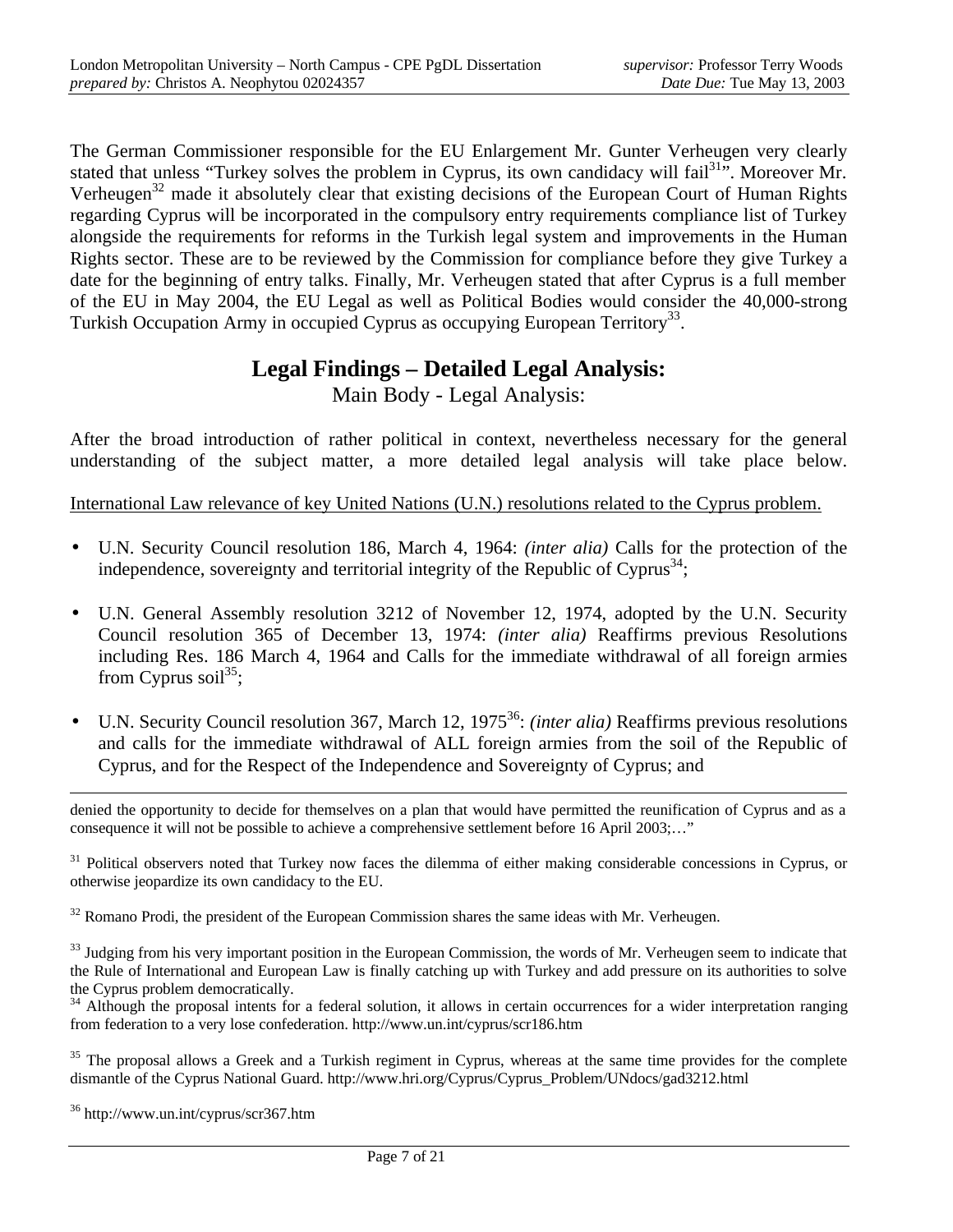The German Commissioner responsible for the EU Enlargement Mr. Gunter Verheugen very clearly stated that unless "Turkey solves the problem in Cyprus, its own candidacy will fail<sup>31</sup>". Moreover Mr. Verheugen<sup>32</sup> made it absolutely clear that existing decisions of the European Court of Human Rights regarding Cyprus will be incorporated in the compulsory entry requirements compliance list of Turkey alongside the requirements for reforms in the Turkish legal system and improvements in the Human Rights sector. These are to be reviewed by the Commission for compliance before they give Turkey a date for the beginning of entry talks. Finally, Mr. Verheugen stated that after Cyprus is a full member of the EU in May 2004, the EU Legal as well as Political Bodies would consider the 40,000-strong Turkish Occupation Army in occupied Cyprus as occupying European Territory<sup>33</sup>.

### **Legal Findings – Detailed Legal Analysis:**

Main Body - Legal Analysis:

After the broad introduction of rather political in context, nevertheless necessary for the general understanding of the subject matter, a more detailed legal analysis will take place below.

International Law relevance of key United Nations (U.N.) resolutions related to the Cyprus problem.

- U.N. Security Council resolution 186, March 4, 1964: *(inter alia)* Calls for the protection of the independence, sovereignty and territorial integrity of the Republic of Cyprus<sup>34</sup>;
- U.N. General Assembly resolution 3212 of November 12, 1974, adopted by the U.N. Security Council resolution 365 of December 13, 1974: *(inter alia)* Reaffirms previous Resolutions including Res. 186 March 4, 1964 and Calls for the immediate withdrawal of all foreign armies from Cyprus soil $^{35}$ ;
- U.N. Security Council resolution 367, March 12, 1975<sup>36</sup>: *(inter alia)* Reaffirms previous resolutions and calls for the immediate withdrawal of ALL foreign armies from the soil of the Republic of Cyprus, and for the Respect of the Independence and Sovereignty of Cyprus; and

denied the opportunity to decide for themselves on a plan that would have permitted the reunification of Cyprus and as a consequence it will not be possible to achieve a comprehensive settlement before 16 April 2003;…"

<sup>31</sup> Political observers noted that Turkey now faces the dilemma of either making considerable concessions in Cyprus, or otherwise jeopardize its own candidacy to the EU.

<sup>32</sup> Romano Prodi, the president of the European Commission shares the same ideas with Mr. Verheugen.

 $33$  Judging from his very important position in the European Commission, the words of Mr. Verheugen seem to indicate that the Rule of International and European Law is finally catching up with Turkey and add pressure on its authorities to solve the Cyprus problem democratically.

<sup>34</sup> Although the proposal intents for a federal solution, it allows in certain occurrences for a wider interpretation ranging from federation to a very lose confederation. http://www.un.int/cyprus/scr186.htm

 $35$  The proposal allows a Greek and a Turkish regiment in Cyprus, whereas at the same time provides for the complete dismantle of the Cyprus National Guard. http://www.hri.org/Cyprus/Cyprus\_Problem/UNdocs/gad3212.html

<sup>36</sup> http://www.un.int/cyprus/scr367.htm

-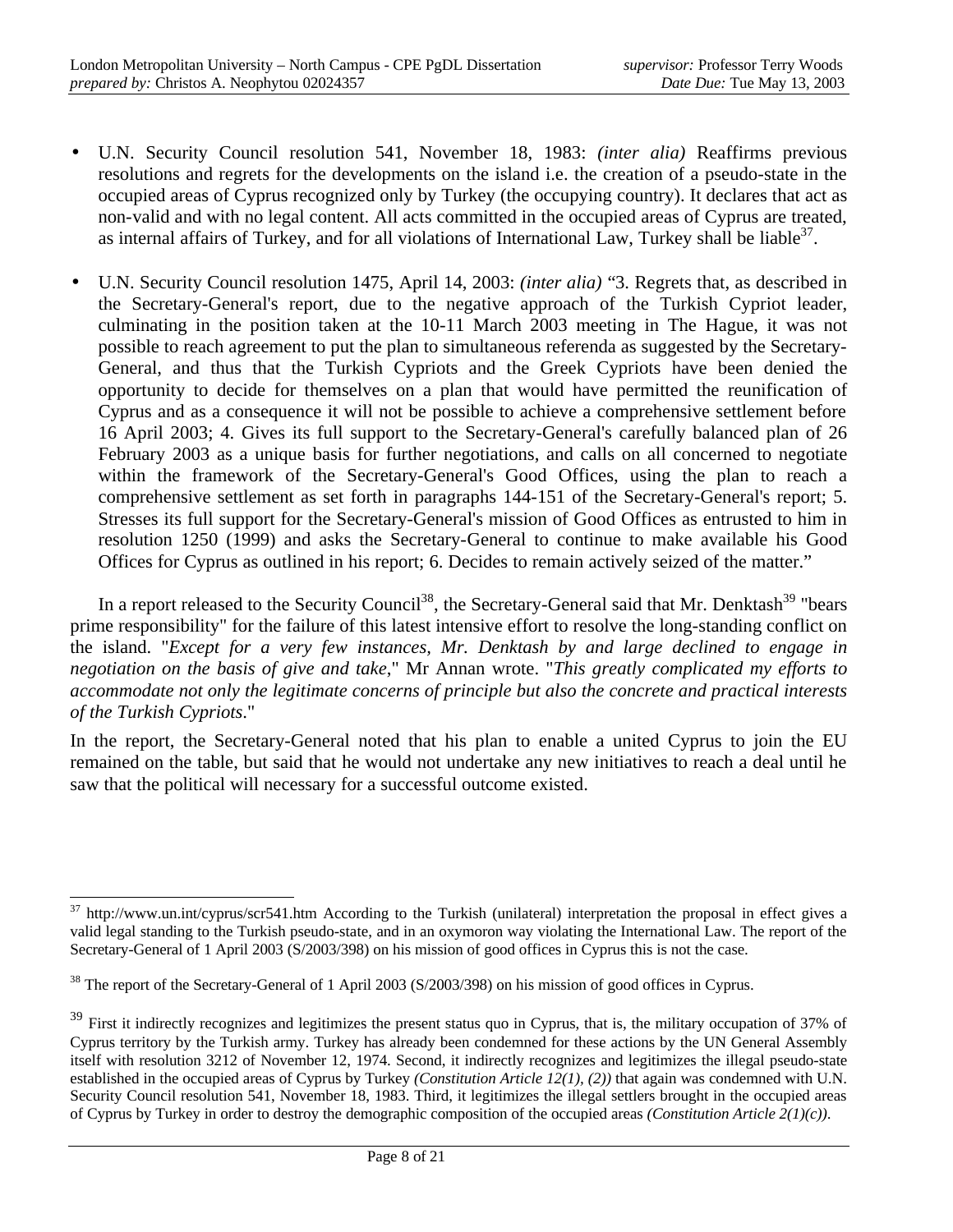- U.N. Security Council resolution 541, November 18, 1983: *(inter alia)* Reaffirms previous resolutions and regrets for the developments on the island i.e. the creation of a pseudo-state in the occupied areas of Cyprus recognized only by Turkey (the occupying country). It declares that act as non-valid and with no legal content. All acts committed in the occupied areas of Cyprus are treated, as internal affairs of Turkey, and for all violations of International Law, Turkey shall be liable $^{37}$ .
- U.N. Security Council resolution 1475, April 14, 2003: *(inter alia)* "3. Regrets that, as described in the Secretary-General's report, due to the negative approach of the Turkish Cypriot leader, culminating in the position taken at the 10-11 March 2003 meeting in The Hague, it was not possible to reach agreement to put the plan to simultaneous referenda as suggested by the Secretary-General, and thus that the Turkish Cypriots and the Greek Cypriots have been denied the opportunity to decide for themselves on a plan that would have permitted the reunification of Cyprus and as a consequence it will not be possible to achieve a comprehensive settlement before 16 April 2003; 4. Gives its full support to the Secretary-General's carefully balanced plan of 26 February 2003 as a unique basis for further negotiations, and calls on all concerned to negotiate within the framework of the Secretary-General's Good Offices, using the plan to reach a comprehensive settlement as set forth in paragraphs 144-151 of the Secretary-General's report; 5. Stresses its full support for the Secretary-General's mission of Good Offices as entrusted to him in resolution 1250 (1999) and asks the Secretary-General to continue to make available his Good Offices for Cyprus as outlined in his report; 6. Decides to remain actively seized of the matter."

In a report released to the Security Council<sup>38</sup>, the Secretary-General said that Mr. Denktash<sup>39</sup> "bears" prime responsibility" for the failure of this latest intensive effort to resolve the long-standing conflict on the island. "*Except for a very few instances, Mr. Denktash by and large declined to engage in negotiation on the basis of give and take*," Mr Annan wrote. "*This greatly complicated my efforts to accommodate not only the legitimate concerns of principle but also the concrete and practical interests of the Turkish Cypriots*."

In the report, the Secretary-General noted that his plan to enable a united Cyprus to join the EU remained on the table, but said that he would not undertake any new initiatives to reach a deal until he saw that the political will necessary for a successful outcome existed.

<sup>37</sup> http://www.un.int/cyprus/scr541.htm According to the Turkish (unilateral) interpretation the proposal in effect gives a valid legal standing to the Turkish pseudo-state, and in an oxymoron way violating the International Law. The report of the Secretary-General of 1 April 2003 (S/2003/398) on his mission of good offices in Cyprus this is not the case.

<sup>&</sup>lt;sup>38</sup> The report of the Secretary-General of 1 April 2003 (S/2003/398) on his mission of good offices in Cyprus.

<sup>&</sup>lt;sup>39</sup> First it indirectly recognizes and legitimizes the present status quo in Cyprus, that is, the military occupation of 37% of Cyprus territory by the Turkish army. Turkey has already been condemned for these actions by the UN General Assembly itself with resolution 3212 of November 12, 1974. Second, it indirectly recognizes and legitimizes the illegal pseudo-state established in the occupied areas of Cyprus by Turkey *(Constitution Article 12(1), (2))* that again was condemned with U.N. Security Council resolution 541, November 18, 1983. Third, it legitimizes the illegal settlers brought in the occupied areas of Cyprus by Turkey in order to destroy the demographic composition of the occupied areas *(Constitution Article 2(1)(c))*.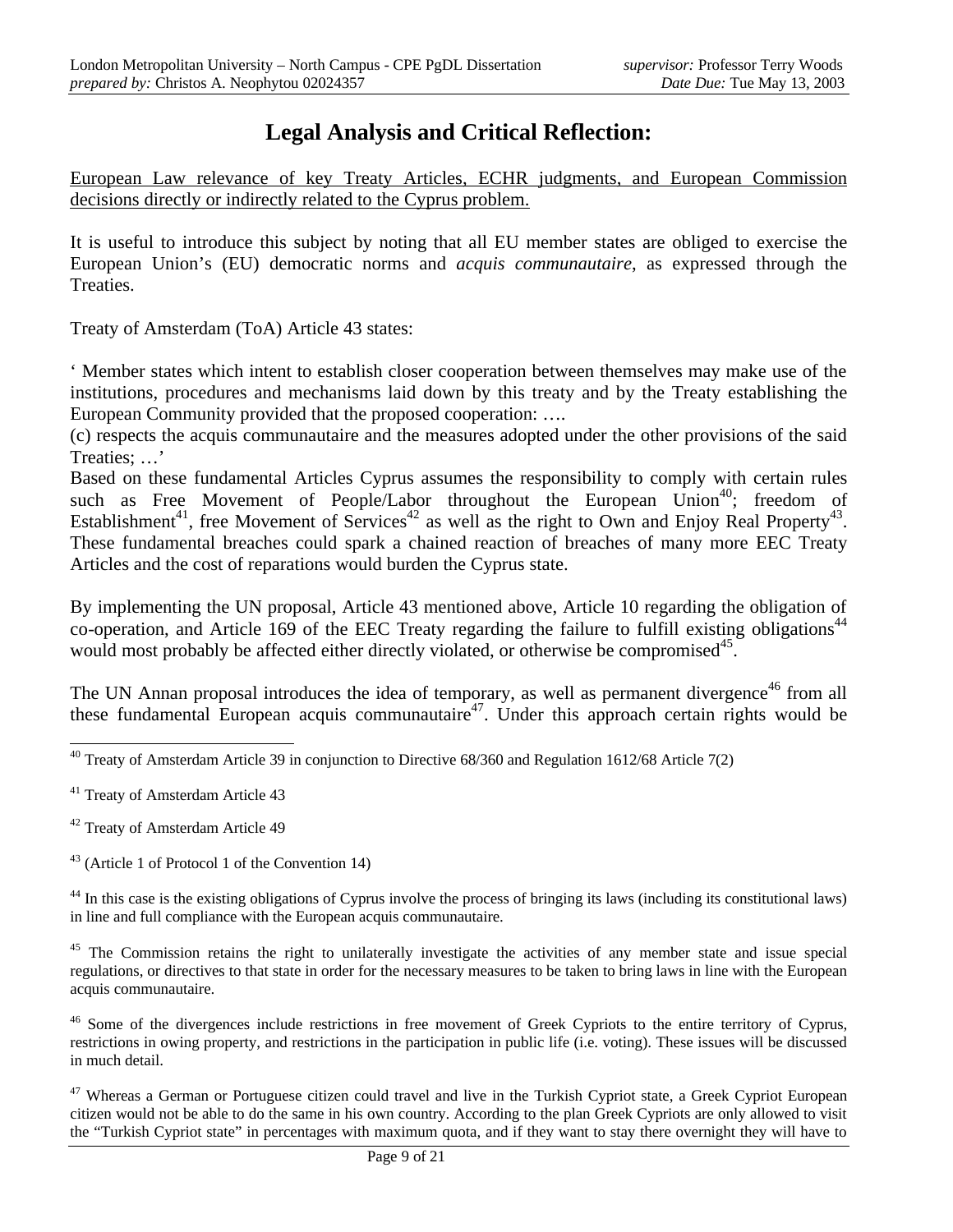# **Legal Analysis and Critical Reflection:**

European Law relevance of key Treaty Articles, ECHR judgments, and European Commission decisions directly or indirectly related to the Cyprus problem.

It is useful to introduce this subject by noting that all EU member states are obliged to exercise the European Union's (EU) democratic norms and *acquis communautaire*, as expressed through the Treaties.

Treaty of Amsterdam (ToA) Article 43 states:

' Member states which intent to establish closer cooperation between themselves may make use of the institutions, procedures and mechanisms laid down by this treaty and by the Treaty establishing the European Community provided that the proposed cooperation: ….

(c) respects the acquis communautaire and the measures adopted under the other provisions of the said Treaties; …'

Based on these fundamental Articles Cyprus assumes the responsibility to comply with certain rules such as Free Movement of People/Labor throughout the European Union<sup>40</sup>; freedom of Establishment<sup>41</sup>, free Movement of Services<sup>42</sup> as well as the right to Own and Enjoy Real Property<sup>43</sup>. These fundamental breaches could spark a chained reaction of breaches of many more EEC Treaty Articles and the cost of reparations would burden the Cyprus state.

By implementing the UN proposal, Article 43 mentioned above, Article 10 regarding the obligation of co-operation, and Article  $169$  of the EEC Treaty regarding the failure to fulfill existing obligations<sup>44</sup> would most probably be affected either directly violated, or otherwise be compromised<sup>45</sup>.

The UN Annan proposal introduces the idea of temporary, as well as permanent divergence<sup>46</sup> from all these fundamental European acquis communautaire<sup>47</sup>. Under this approach certain rights would be

<sup>41</sup> Treaty of Amsterdam Article 43

<sup>42</sup> Treaty of Amsterdam Article 49

 $43$  (Article 1 of Protocol 1 of the Convention 14)

<sup>44</sup> In this case is the existing obligations of Cyprus involve the process of bringing its laws (including its constitutional laws) in line and full compliance with the European acquis communautaire.

 $45$  The Commission retains the right to unilaterally investigate the activities of any member state and issue special regulations, or directives to that state in order for the necessary measures to be taken to bring laws in line with the European acquis communautaire.

<sup>46</sup> Some of the divergences include restrictions in free movement of Greek Cypriots to the entire territory of Cyprus, restrictions in owing property, and restrictions in the participation in public life (i.e. voting). These issues will be discussed in much detail.

 $47$  Whereas a German or Portuguese citizen could travel and live in the Turkish Cypriot state, a Greek Cypriot European citizen would not be able to do the same in his own country. According to the plan Greek Cypriots are only allowed to visit the "Turkish Cypriot state" in percentages with maximum quota, and if they want to stay there overnight they will have to

<sup>-</sup> $40$  Treaty of Amsterdam Article 39 in conjunction to Directive 68/360 and Regulation 1612/68 Article 7(2)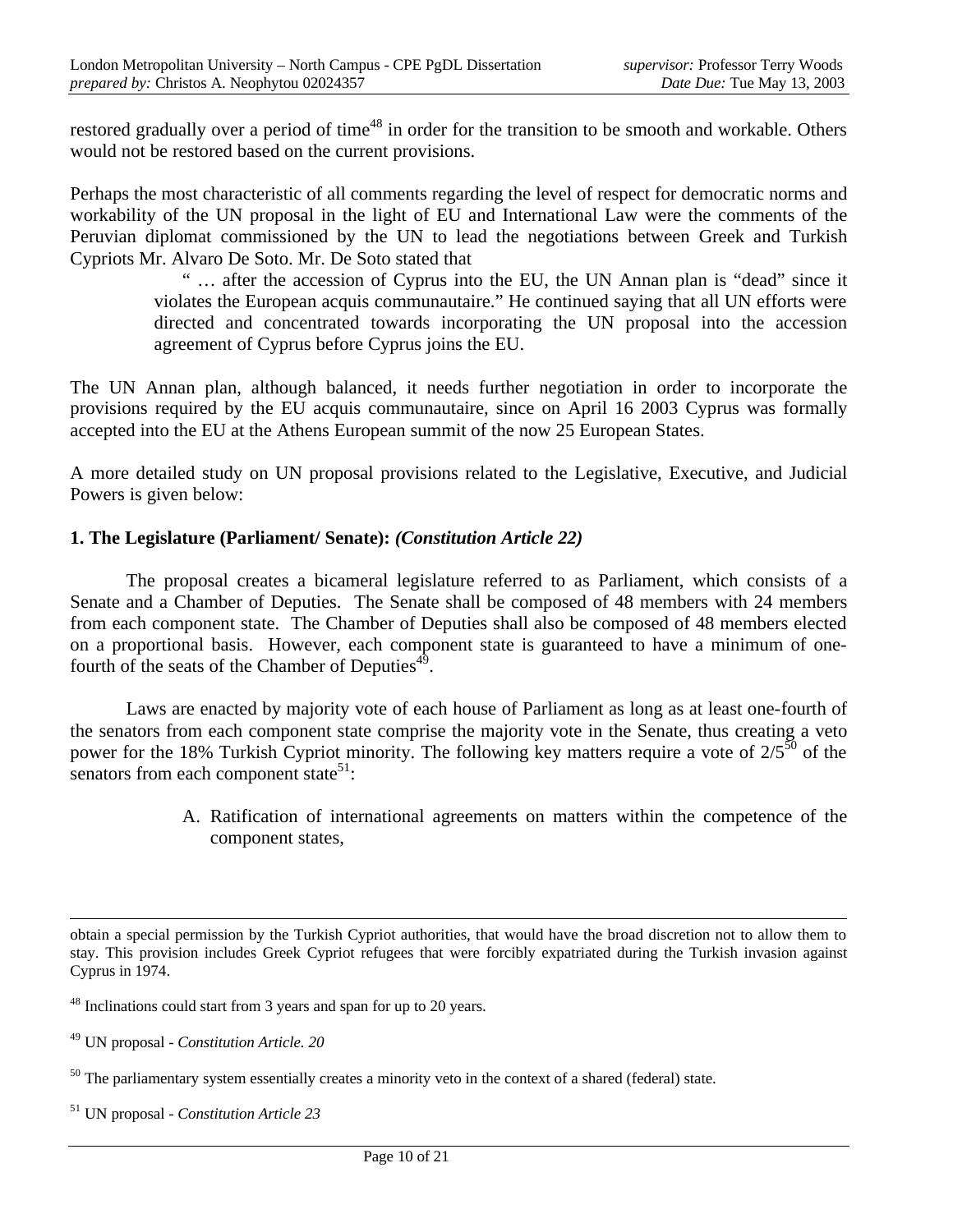restored gradually over a period of time<sup>48</sup> in order for the transition to be smooth and workable. Others would not be restored based on the current provisions.

Perhaps the most characteristic of all comments regarding the level of respect for democratic norms and workability of the UN proposal in the light of EU and International Law were the comments of the Peruvian diplomat commissioned by the UN to lead the negotiations between Greek and Turkish Cypriots Mr. Alvaro De Soto. Mr. De Soto stated that

> " … after the accession of Cyprus into the EU, the UN Annan plan is "dead" since it violates the European acquis communautaire." He continued saying that all UN efforts were directed and concentrated towards incorporating the UN proposal into the accession agreement of Cyprus before Cyprus joins the EU.

The UN Annan plan, although balanced, it needs further negotiation in order to incorporate the provisions required by the EU acquis communautaire, since on April 16 2003 Cyprus was formally accepted into the EU at the Athens European summit of the now 25 European States.

A more detailed study on UN proposal provisions related to the Legislative, Executive, and Judicial Powers is given below:

#### **1. The Legislature (Parliament/ Senate):** *(Constitution Article 22)*

The proposal creates a bicameral legislature referred to as Parliament, which consists of a Senate and a Chamber of Deputies. The Senate shall be composed of 48 members with 24 members from each component state. The Chamber of Deputies shall also be composed of 48 members elected on a proportional basis. However, each component state is guaranteed to have a minimum of onefourth of the seats of the Chamber of Deputies $4^9$ .

Laws are enacted by majority vote of each house of Parliament as long as at least one-fourth of the senators from each component state comprise the majority vote in the Senate, thus creating a veto power for the 18% Turkish Cypriot minority. The following key matters require a vote of  $2/5^{50}$  of the senators from each component state<sup>51</sup>:

> A. Ratification of international agreements on matters within the competence of the component states,

-

<sup>51</sup> UN proposal - *Constitution Article 23*

obtain a special permission by the Turkish Cypriot authorities, that would have the broad discretion not to allow them to stay. This provision includes Greek Cypriot refugees that were forcibly expatriated during the Turkish invasion against Cyprus in 1974.

<sup>&</sup>lt;sup>48</sup> Inclinations could start from 3 years and span for up to 20 years.

<sup>49</sup> UN proposal - *Constitution Article. 20*

 $50$  The parliamentary system essentially creates a minority veto in the context of a shared (federal) state.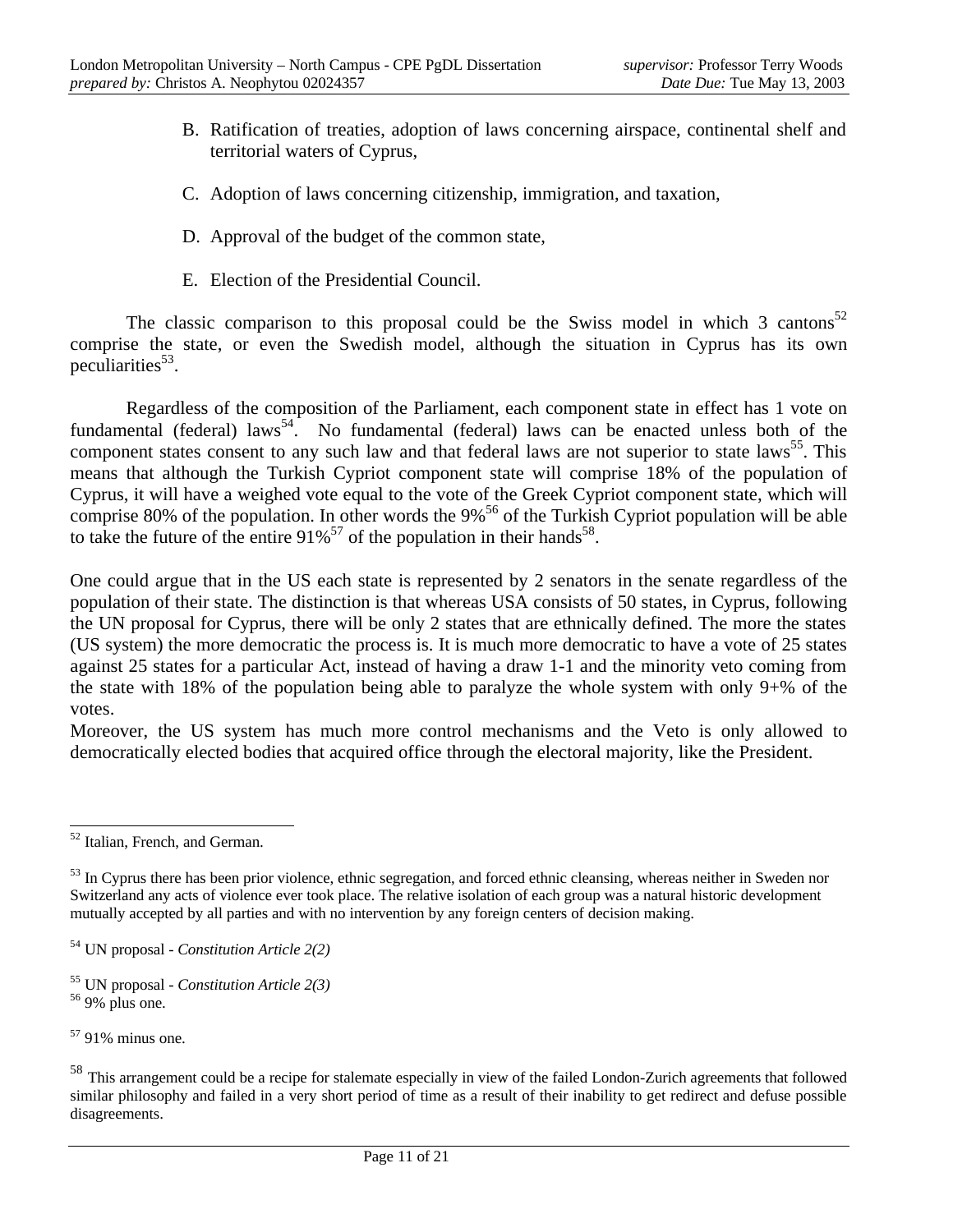- B. Ratification of treaties, adoption of laws concerning airspace, continental shelf and territorial waters of Cyprus,
- C. Adoption of laws concerning citizenship, immigration, and taxation,
- D. Approval of the budget of the common state,
- E. Election of the Presidential Council.

The classic comparison to this proposal could be the Swiss model in which 3 cantons<sup>52</sup> comprise the state, or even the Swedish model, although the situation in Cyprus has its own peculiarities<sup>53</sup>.

Regardless of the composition of the Parliament, each component state in effect has 1 vote on fundamental (federal) laws<sup>54</sup>. No fundamental (federal) laws can be enacted unless both of the component states consent to any such law and that federal laws are not superior to state laws<sup>55</sup>. This means that although the Turkish Cypriot component state will comprise 18% of the population of Cyprus, it will have a weighed vote equal to the vote of the Greek Cypriot component state, which will comprise 80% of the population. In other words the 9%<sup>56</sup> of the Turkish Cypriot population will be able to take the future of the entire  $91\%^{57}$  of the population in their hands<sup>58</sup>.

One could argue that in the US each state is represented by 2 senators in the senate regardless of the population of their state. The distinction is that whereas USA consists of 50 states, in Cyprus, following the UN proposal for Cyprus, there will be only 2 states that are ethnically defined. The more the states (US system) the more democratic the process is. It is much more democratic to have a vote of 25 states against 25 states for a particular Act, instead of having a draw 1-1 and the minority veto coming from the state with 18% of the population being able to paralyze the whole system with only 9+% of the votes.

Moreover, the US system has much more control mechanisms and the Veto is only allowed to democratically elected bodies that acquired office through the electoral majority, like the President.

<sup>-</sup><sup>52</sup> Italian, French, and German.

 $53$  In Cyprus there has been prior violence, ethnic segregation, and forced ethnic cleansing, whereas neither in Sweden nor Switzerland any acts of violence ever took place. The relative isolation of each group was a natural historic development mutually accepted by all parties and with no intervention by any foreign centers of decision making.

<sup>54</sup> UN proposal - *Constitution Article 2(2)*

<sup>55</sup> UN proposal - *Constitution Article 2(3)* <sup>56</sup> 9% plus one.

 $57$  91% minus one.

<sup>&</sup>lt;sup>58</sup> This arrangement could be a recipe for stalemate especially in view of the failed London-Zurich agreements that followed similar philosophy and failed in a very short period of time as a result of their inability to get redirect and defuse possible disagreements.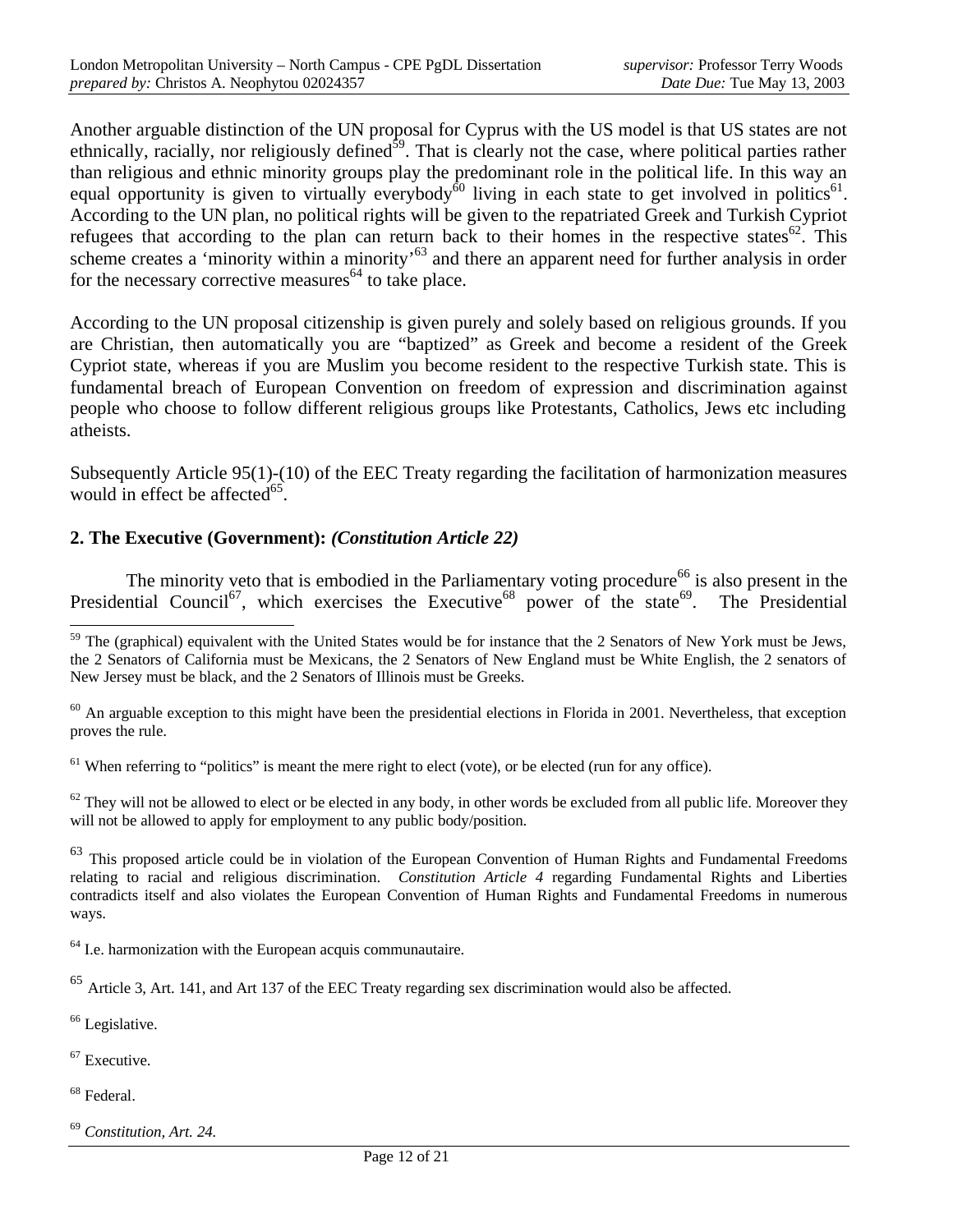Another arguable distinction of the UN proposal for Cyprus with the US model is that US states are not ethnically, racially, nor religiously defined<sup>59</sup>. That is clearly not the case, where political parties rather than religious and ethnic minority groups play the predominant role in the political life. In this way an equal opportunity is given to virtually everybody<sup>60</sup> living in each state to get involved in politics<sup>61</sup>. According to the UN plan, no political rights will be given to the repatriated Greek and Turkish Cypriot refugees that according to the plan can return back to their homes in the respective states<sup>62</sup>. This scheme creates a 'minority within a minority'<sup>63</sup> and there an apparent need for further analysis in order for the necessary corrective measures<sup> $64$ </sup> to take place.

According to the UN proposal citizenship is given purely and solely based on religious grounds. If you are Christian, then automatically you are "baptized" as Greek and become a resident of the Greek Cypriot state, whereas if you are Muslim you become resident to the respective Turkish state. This is fundamental breach of European Convention on freedom of expression and discrimination against people who choose to follow different religious groups like Protestants, Catholics, Jews etc including atheists.

Subsequently Article 95(1)-(10) of the EEC Treaty regarding the facilitation of harmonization measures would in effect be affected<sup>65</sup>.

#### **2. The Executive (Government):** *(Constitution Article 22)*

The minority veto that is embodied in the Parliamentary voting procedure<sup>66</sup> is also present in the Presidential Council<sup>67</sup>, which exercises the Executive<sup>68</sup> power of the state<sup>69</sup>. The Presidential

 $61$  When referring to "politics" is meant the mere right to elect (vote), or be elected (run for any office).

 $62$  They will not be allowed to elect or be elected in any body, in other words be excluded from all public life. Moreover they will not be allowed to apply for employment to any public body/position.

 $64$  I.e. harmonization with the European acquis communautaire.

<sup>66</sup> Legislative.

-

 $67$  Executive.

<sup>68</sup> Federal.

<sup>69</sup> *Constitution, Art. 24.*

<sup>&</sup>lt;sup>59</sup> The (graphical) equivalent with the United States would be for instance that the 2 Senators of New York must be Jews, the 2 Senators of California must be Mexicans, the 2 Senators of New England must be White English, the 2 senators of New Jersey must be black, and the 2 Senators of Illinois must be Greeks.

 $60$  An arguable exception to this might have been the presidential elections in Florida in 2001. Nevertheless, that exception proves the rule.

<sup>&</sup>lt;sup>63</sup> This proposed article could be in violation of the European Convention of Human Rights and Fundamental Freedoms relating to racial and religious discrimination. *Constitution Article 4* regarding Fundamental Rights and Liberties contradicts itself and also violates the European Convention of Human Rights and Fundamental Freedoms in numerous ways.

<sup>65</sup> Article 3, Art. 141, and Art 137 of the EEC Treaty regarding sex discrimination would also be affected.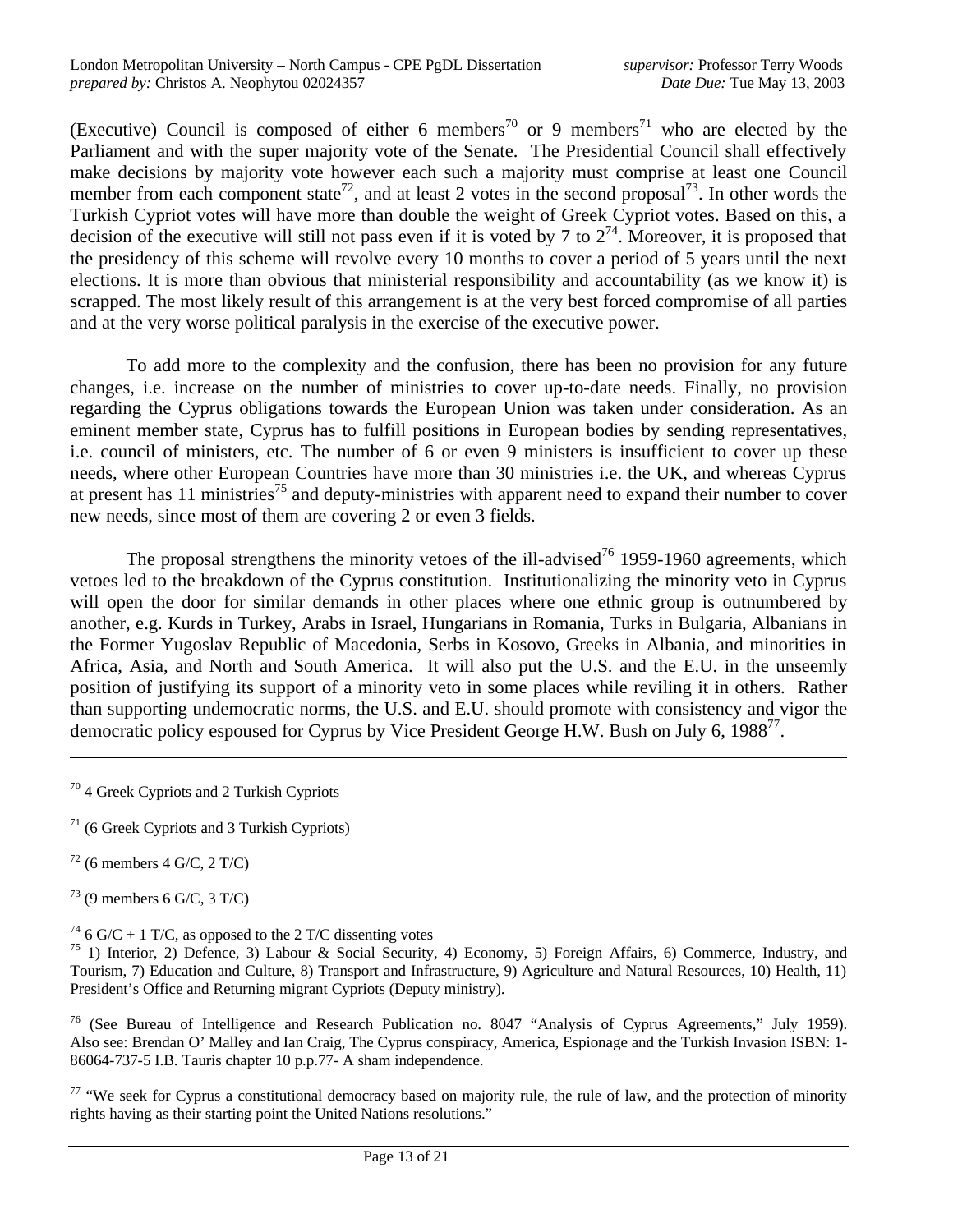(Executive) Council is composed of either 6 members<sup>70</sup> or 9 members<sup>71</sup> who are elected by the Parliament and with the super majority vote of the Senate. The Presidential Council shall effectively make decisions by majority vote however each such a majority must comprise at least one Council member from each component state<sup>72</sup>, and at least 2 votes in the second proposal<sup>73</sup>. In other words the Turkish Cypriot votes will have more than double the weight of Greek Cypriot votes. Based on this, a decision of the executive will still not pass even if it is voted by 7 to  $2^{74}$ . Moreover, it is proposed that the presidency of this scheme will revolve every 10 months to cover a period of 5 years until the next elections. It is more than obvious that ministerial responsibility and accountability (as we know it) is scrapped. The most likely result of this arrangement is at the very best forced compromise of all parties and at the very worse political paralysis in the exercise of the executive power.

To add more to the complexity and the confusion, there has been no provision for any future changes, i.e. increase on the number of ministries to cover up-to-date needs. Finally, no provision regarding the Cyprus obligations towards the European Union was taken under consideration. As an eminent member state, Cyprus has to fulfill positions in European bodies by sending representatives, i.e. council of ministers, etc. The number of 6 or even 9 ministers is insufficient to cover up these needs, where other European Countries have more than 30 ministries i.e. the UK, and whereas Cyprus at present has 11 ministries<sup>75</sup> and deputy-ministries with apparent need to expand their number to cover new needs, since most of them are covering 2 or even 3 fields.

The proposal strengthens the minority vetoes of the ill-advised<sup>76</sup> 1959-1960 agreements, which vetoes led to the breakdown of the Cyprus constitution. Institutionalizing the minority veto in Cyprus will open the door for similar demands in other places where one ethnic group is outnumbered by another, e.g. Kurds in Turkey, Arabs in Israel, Hungarians in Romania, Turks in Bulgaria, Albanians in the Former Yugoslav Republic of Macedonia, Serbs in Kosovo, Greeks in Albania, and minorities in Africa, Asia, and North and South America. It will also put the U.S. and the E.U. in the unseemly position of justifying its support of a minority veto in some places while reviling it in others. Rather than supporting undemocratic norms, the U.S. and E.U. should promote with consistency and vigor the democratic policy espoused for Cyprus by Vice President George H.W. Bush on July 6, 1988<sup>77</sup>.

<sup>70</sup> 4 Greek Cypriots and 2 Turkish Cypriots

- $71$  (6 Greek Cypriots and 3 Turkish Cypriots)
- $72$  (6 members 4 G/C, 2 T/C)

l

 $73$  (9 members 6 G/C, 3 T/C)

 $77$  "We seek for Cyprus a constitutional democracy based on majority rule, the rule of law, and the protection of minority rights having as their starting point the United Nations resolutions."

 $^{74}$  6 G/C + 1 T/C, as opposed to the 2 T/C dissenting votes

<sup>&</sup>lt;sup>75</sup> 1) Interior, 2) Defence, 3) Labour & Social Security, 4) Economy, 5) Foreign Affairs, 6) Commerce, Industry, and Tourism, 7) Education and Culture, 8) Transport and Infrastructure, 9) Agriculture and Natural Resources, 10) Health, 11) President's Office and Returning migrant Cypriots (Deputy ministry).

<sup>76</sup> (See Bureau of Intelligence and Research Publication no. 8047 "Analysis of Cyprus Agreements," July 1959). Also see: Brendan O' Malley and Ian Craig, The Cyprus conspiracy, America, Espionage and the Turkish Invasion ISBN: 1- 86064-737-5 I.B. Tauris chapter 10 p.p.77- A sham independence.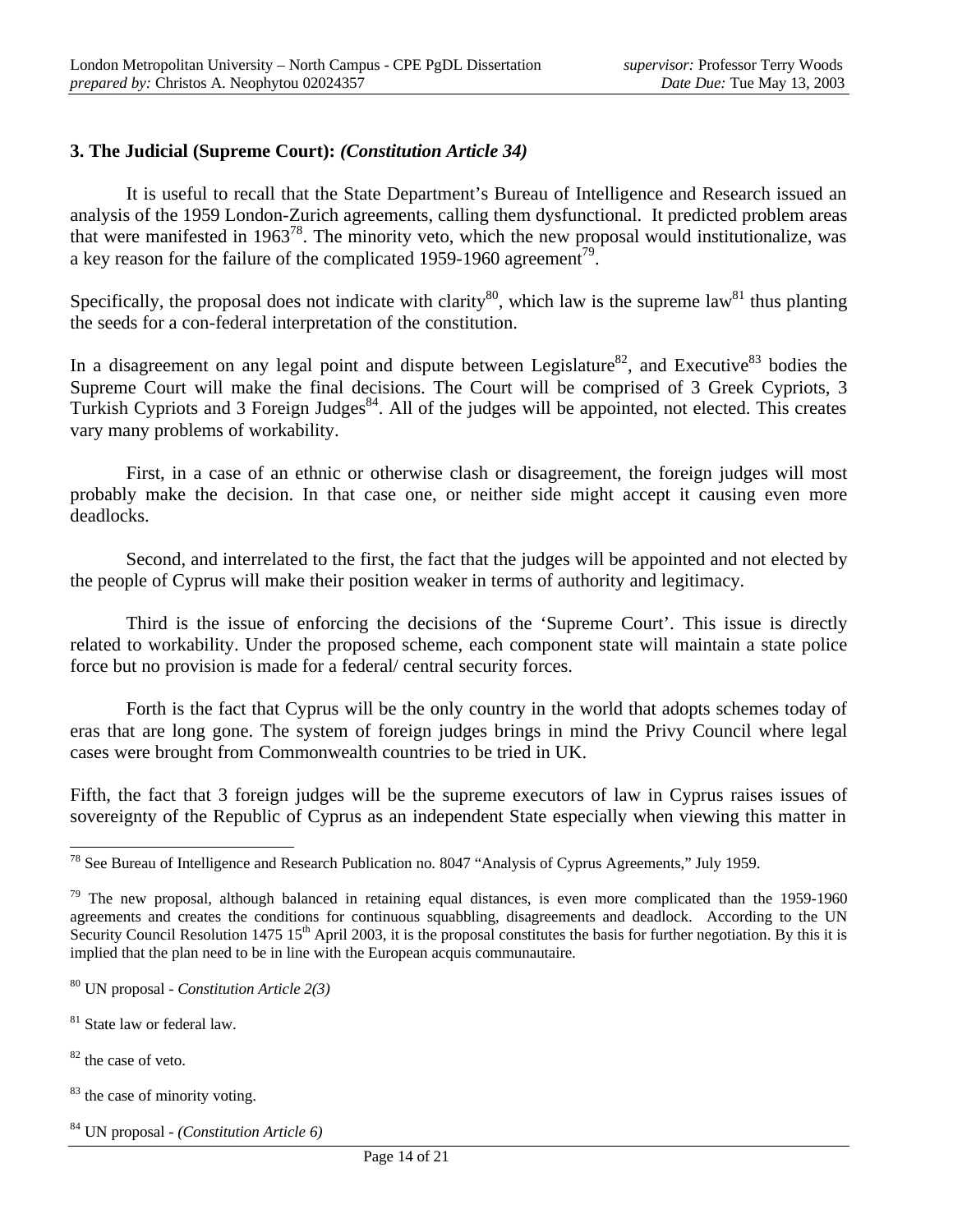#### **3. The Judicial (Supreme Court):** *(Constitution Article 34)*

It is useful to recall that the State Department's Bureau of Intelligence and Research issued an analysis of the 1959 London-Zurich agreements, calling them dysfunctional. It predicted problem areas that were manifested in  $1963^{78}$ . The minority veto, which the new proposal would institutionalize, was a key reason for the failure of the complicated 1959-1960 agreement<sup>79</sup>.

Specifically, the proposal does not indicate with clarity<sup>80</sup>, which law is the supreme law<sup>81</sup> thus planting the seeds for a con-federal interpretation of the constitution.

In a disagreement on any legal point and dispute between Legislature<sup>82</sup>, and Executive<sup>83</sup> bodies the Supreme Court will make the final decisions. The Court will be comprised of 3 Greek Cypriots, 3 Turkish Cypriots and 3 Foreign Judges<sup>84</sup>. All of the judges will be appointed, not elected. This creates vary many problems of workability.

First, in a case of an ethnic or otherwise clash or disagreement, the foreign judges will most probably make the decision. In that case one, or neither side might accept it causing even more deadlocks.

Second, and interrelated to the first, the fact that the judges will be appointed and not elected by the people of Cyprus will make their position weaker in terms of authority and legitimacy.

Third is the issue of enforcing the decisions of the 'Supreme Court'. This issue is directly related to workability. Under the proposed scheme, each component state will maintain a state police force but no provision is made for a federal/ central security forces.

Forth is the fact that Cyprus will be the only country in the world that adopts schemes today of eras that are long gone. The system of foreign judges brings in mind the Privy Council where legal cases were brought from Commonwealth countries to be tried in UK.

Fifth, the fact that 3 foreign judges will be the supreme executors of law in Cyprus raises issues of sovereignty of the Republic of Cyprus as an independent State especially when viewing this matter in

<sup>82</sup> the case of veto.

-

<sup>83</sup> the case of minority voting.

<sup>&</sup>lt;sup>78</sup> See Bureau of Intelligence and Research Publication no. 8047 "Analysis of Cyprus Agreements," July 1959.

 $79$  The new proposal, although balanced in retaining equal distances, is even more complicated than the 1959-1960 agreements and creates the conditions for continuous squabbling, disagreements and deadlock. According to the UN Security Council Resolution 1475  $15<sup>th</sup>$  April 2003, it is the proposal constitutes the basis for further negotiation. By this it is implied that the plan need to be in line with the European acquis communautaire.

<sup>80</sup> UN proposal - *Constitution Article 2(3)*

<sup>&</sup>lt;sup>81</sup> State law or federal law.

<sup>84</sup> UN proposal - *(Constitution Article 6)*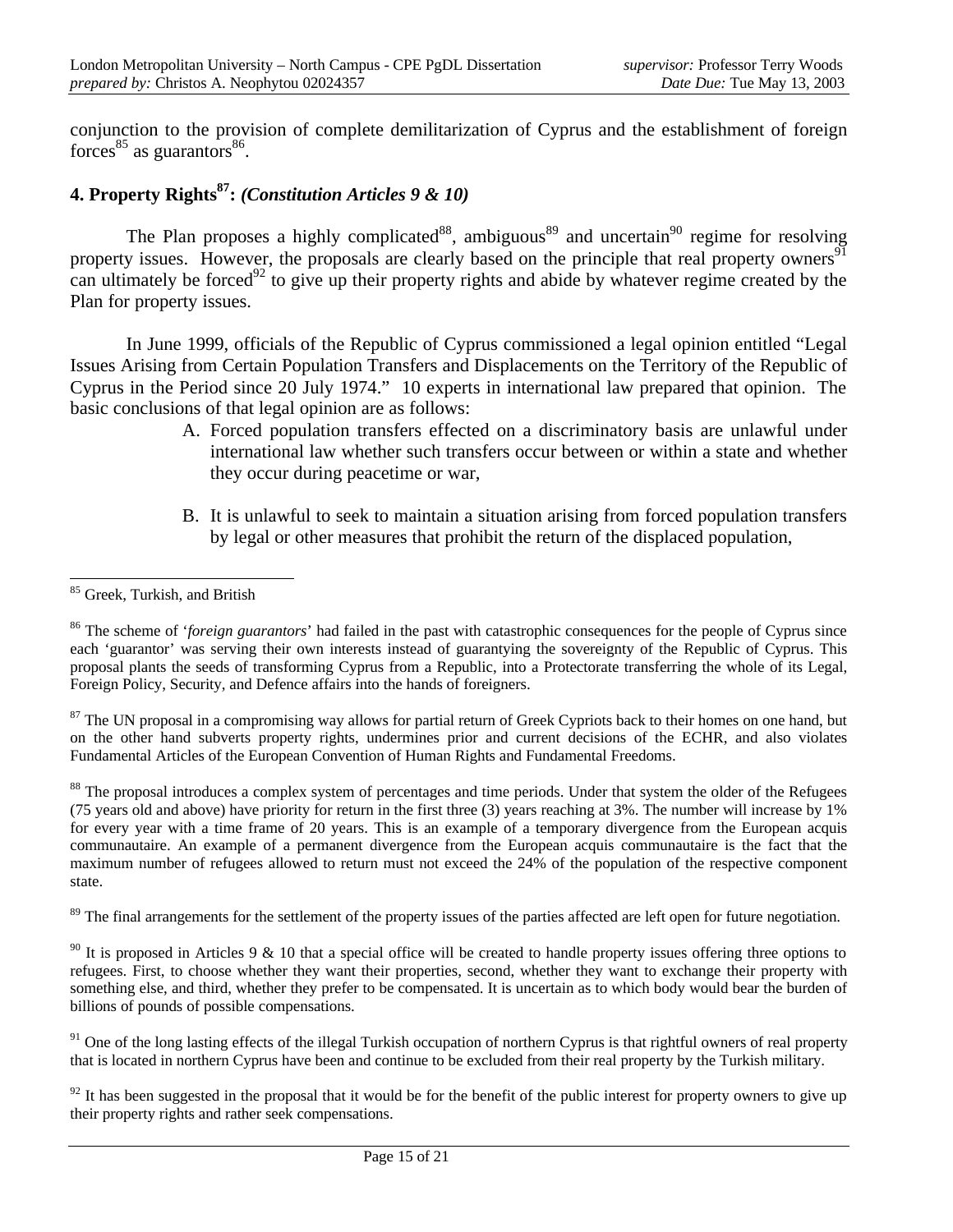conjunction to the provision of complete demilitarization of Cyprus and the establishment of foreign forces $^{85}$  as guarantors $^{86}$ .

### **4. Property Rights<sup>87</sup>:** *(Constitution Articles 9 & 10)*

The Plan proposes a highly complicated<sup>88</sup>, ambiguous<sup>89</sup> and uncertain<sup>90</sup> regime for resolving property issues. However, the proposals are clearly based on the principle that real property owners<sup>91</sup> can ultimately be forced<sup>92</sup> to give up their property rights and abide by whatever regime created by the Plan for property issues.

In June 1999, officials of the Republic of Cyprus commissioned a legal opinion entitled "Legal Issues Arising from Certain Population Transfers and Displacements on the Territory of the Republic of Cyprus in the Period since 20 July 1974." 10 experts in international law prepared that opinion. The basic conclusions of that legal opinion are as follows:

- A. Forced population transfers effected on a discriminatory basis are unlawful under international law whether such transfers occur between or within a state and whether they occur during peacetime or war,
- B. It is unlawful to seek to maintain a situation arising from forced population transfers by legal or other measures that prohibit the return of the displaced population,

 $87$  The UN proposal in a compromising way allows for partial return of Greek Cypriots back to their homes on one hand, but on the other hand subverts property rights, undermines prior and current decisions of the ECHR, and also violates Fundamental Articles of the European Convention of Human Rights and Fundamental Freedoms.

<sup>88</sup> The proposal introduces a complex system of percentages and time periods. Under that system the older of the Refugees (75 years old and above) have priority for return in the first three (3) years reaching at 3%. The number will increase by 1% for every year with a time frame of 20 years. This is an example of a temporary divergence from the European acquis communautaire. An example of a permanent divergence from the European acquis communautaire is the fact that the maximum number of refugees allowed to return must not exceed the 24% of the population of the respective component state.

 $89$  The final arrangements for the settlement of the property issues of the parties affected are left open for future negotiation.

<sup>90</sup> It is proposed in Articles 9 & 10 that a special office will be created to handle property issues offering three options to refugees. First, to choose whether they want their properties, second, whether they want to exchange their property with something else, and third, whether they prefer to be compensated. It is uncertain as to which body would bear the burden of billions of pounds of possible compensations.

 $91$  One of the long lasting effects of the illegal Turkish occupation of northern Cyprus is that rightful owners of real property that is located in northern Cyprus have been and continue to be excluded from their real property by the Turkish military.

 $92$  It has been suggested in the proposal that it would be for the benefit of the public interest for property owners to give up their property rights and rather seek compensations.

<sup>85</sup> Greek, Turkish, and British

<sup>86</sup> The scheme of '*foreign guarantors*' had failed in the past with catastrophic consequences for the people of Cyprus since each 'guarantor' was serving their own interests instead of guarantying the sovereignty of the Republic of Cyprus. This proposal plants the seeds of transforming Cyprus from a Republic, into a Protectorate transferring the whole of its Legal, Foreign Policy, Security, and Defence affairs into the hands of foreigners.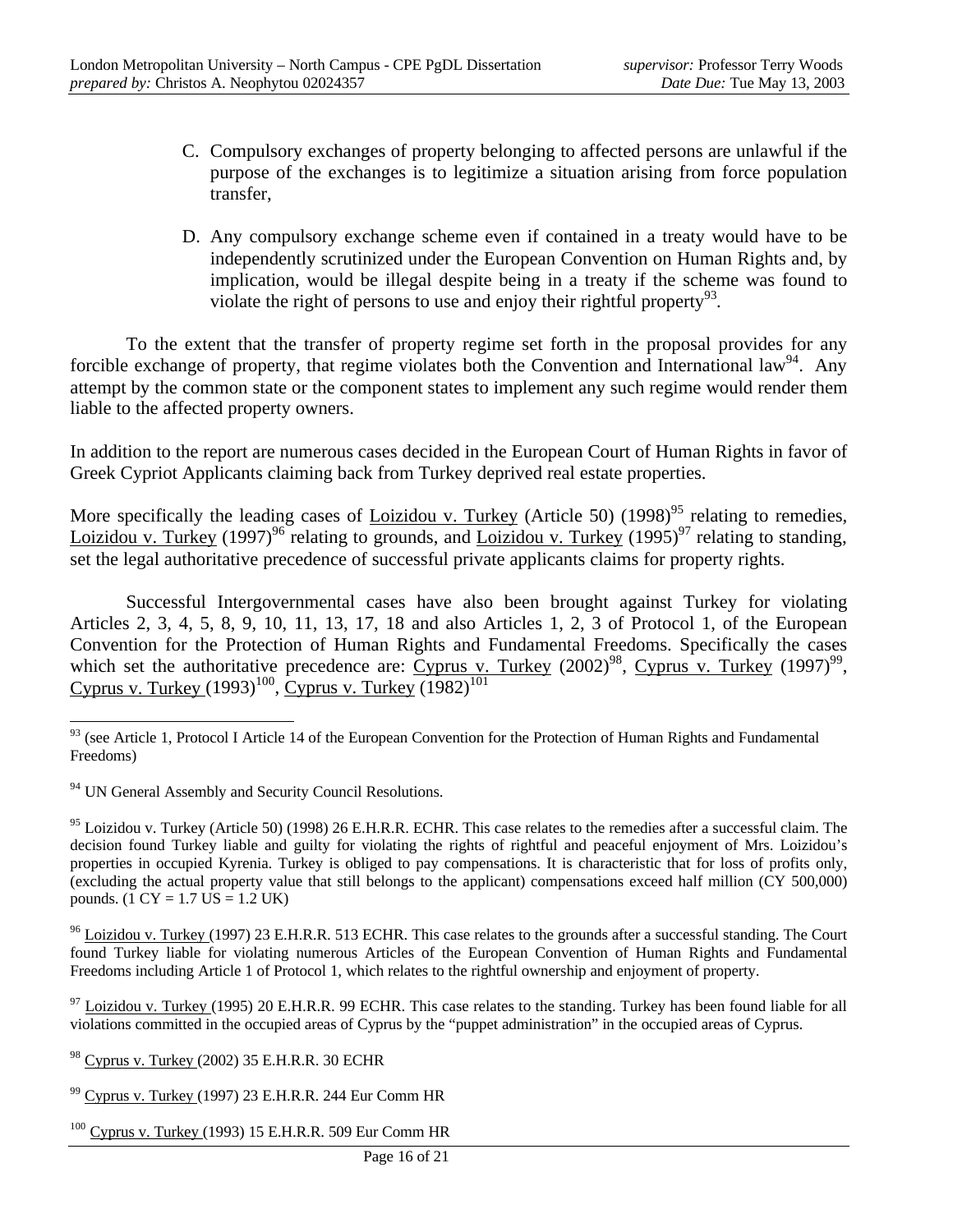- C. Compulsory exchanges of property belonging to affected persons are unlawful if the purpose of the exchanges is to legitimize a situation arising from force population transfer,
- D. Any compulsory exchange scheme even if contained in a treaty would have to be independently scrutinized under the European Convention on Human Rights and, by implication, would be illegal despite being in a treaty if the scheme was found to violate the right of persons to use and enjoy their rightful property<sup>93</sup>.

To the extent that the transfer of property regime set forth in the proposal provides for any forcible exchange of property, that regime violates both the Convention and International law<sup>94</sup>. Any attempt by the common state or the component states to implement any such regime would render them liable to the affected property owners.

In addition to the report are numerous cases decided in the European Court of Human Rights in favor of Greek Cypriot Applicants claiming back from Turkey deprived real estate properties.

More specifically the leading cases of <u>Loizidou v. Turkey</u> (Article 50) (1998)<sup>95</sup> relating to remedies, Loizidou v. Turkey (1997)<sup>96</sup> relating to grounds, and Loizidou v. Turkey (1995)<sup>97</sup> relating to standing, set the legal authoritative precedence of successful private applicants claims for property rights.

Successful Intergovernmental cases have also been brought against Turkey for violating Articles 2, 3, 4, 5, 8, 9, 10, 11, 13, 17, 18 and also Articles 1, 2, 3 of Protocol 1, of the European Convention for the Protection of Human Rights and Fundamental Freedoms. Specifically the cases which set the authoritative precedence are: Cyprus v. Turkey  $(2002)^{98}$ , Cyprus v. Turkey  $(1997)^{99}$ , Cyprus v. Turkey  $(1993)^{100}$ , Cyprus v. Turkey  $(1982)^{101}$ 

-

 $96$  Loizidou v. Turkey (1997) 23 E.H.R.R. 513 ECHR. This case relates to the grounds after a successful standing. The Court found Turkey liable for violating numerous Articles of the European Convention of Human Rights and Fundamental Freedoms including Article 1 of Protocol 1, which relates to the rightful ownership and enjoyment of property.

 $97$  Loizidou v. Turkey (1995) 20 E.H.R.R. 99 ECHR. This case relates to the standing. Turkey has been found liable for all violations committed in the occupied areas of Cyprus by the "puppet administration" in the occupied areas of Cyprus.

<sup>98</sup> Cyprus v. Turkey (2002) 35 E.H.R.R. 30 ECHR

<sup>&</sup>lt;sup>93</sup> (see Article 1, Protocol I Article 14 of the European Convention for the Protection of Human Rights and Fundamental Freedoms)

 $94$  UN General Assembly and Security Council Resolutions.

<sup>&</sup>lt;sup>95</sup> Loizidou v. Turkey (Article 50) (1998) 26 E.H.R.R. ECHR. This case relates to the remedies after a successful claim. The decision found Turkey liable and guilty for violating the rights of rightful and peaceful enjoyment of Mrs. Loizidou's properties in occupied Kyrenia. Turkey is obliged to pay compensations. It is characteristic that for loss of profits only, (excluding the actual property value that still belongs to the applicant) compensations exceed half million (CY 500,000) pounds.  $(1 CY = 1.7 US = 1.2 UK)$ 

 $99$  Cyprus v. Turkey (1997) 23 E.H.R.R. 244 Eur Comm HR

 $100$  Cyprus v. Turkey (1993) 15 E.H.R.R. 509 Eur Comm HR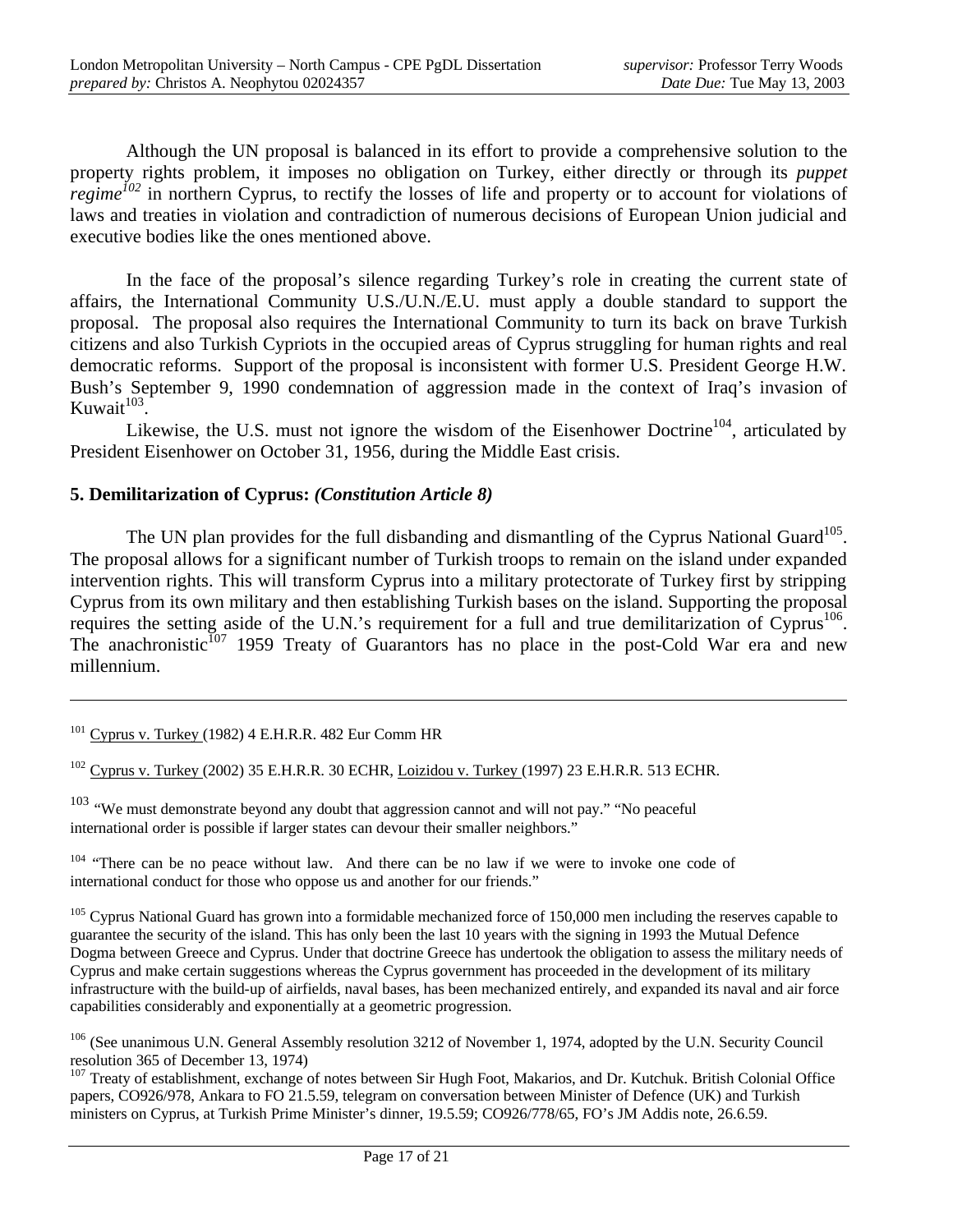Although the UN proposal is balanced in its effort to provide a comprehensive solution to the property rights problem, it imposes no obligation on Turkey, either directly or through its *puppet regime*<sup>102</sup> in northern Cyprus, to rectify the losses of life and property or to account for violations of laws and treaties in violation and contradiction of numerous decisions of European Union judicial and executive bodies like the ones mentioned above.

In the face of the proposal's silence regarding Turkey's role in creating the current state of affairs, the International Community U.S./U.N./E.U. must apply a double standard to support the proposal. The proposal also requires the International Community to turn its back on brave Turkish citizens and also Turkish Cypriots in the occupied areas of Cyprus struggling for human rights and real democratic reforms. Support of the proposal is inconsistent with former U.S. President George H.W. Bush's September 9, 1990 condemnation of aggression made in the context of Iraq's invasion of Kuwait $^{103}$ .

Likewise, the U.S. must not ignore the wisdom of the Eisenhower Doctrine<sup>104</sup>, articulated by President Eisenhower on October 31, 1956, during the Middle East crisis.

#### **5. Demilitarization of Cyprus:** *(Constitution Article 8)*

The UN plan provides for the full disbanding and dismantling of the Cyprus National Guard<sup>105</sup>. The proposal allows for a significant number of Turkish troops to remain on the island under expanded intervention rights. This will transform Cyprus into a military protectorate of Turkey first by stripping Cyprus from its own military and then establishing Turkish bases on the island. Supporting the proposal requires the setting aside of the U.N.'s requirement for a full and true demilitarization of Cyprus<sup>106</sup>. The anachronistic $107$  1959 Treaty of Guarantors has no place in the post-Cold War era and new millennium.

l

<sup>101</sup> Cyprus v. Turkey (1982) 4 E.H.R.R. 482 Eur Comm HR

 $102$  Cyprus v. Turkey (2002) 35 E.H.R.R. 30 ECHR, Loizidou v. Turkey (1997) 23 E.H.R.R. 513 ECHR.

<sup>&</sup>lt;sup>103</sup> "We must demonstrate beyond any doubt that aggression cannot and will not pay." "No peaceful international order is possible if larger states can devour their smaller neighbors."

<sup>&</sup>lt;sup>104</sup> "There can be no peace without law. And there can be no law if we were to invoke one code of international conduct for those who oppose us and another for our friends."

<sup>&</sup>lt;sup>105</sup> Cyprus National Guard has grown into a formidable mechanized force of 150,000 men including the reserves capable to guarantee the security of the island. This has only been the last 10 years with the signing in 1993 the Mutual Defence Dogma between Greece and Cyprus. Under that doctrine Greece has undertook the obligation to assess the military needs of Cyprus and make certain suggestions whereas the Cyprus government has proceeded in the development of its military infrastructure with the build-up of airfields, naval bases, has been mechanized entirely, and expanded its naval and air force capabilities considerably and exponentially at a geometric progression.

<sup>&</sup>lt;sup>106</sup> (See unanimous U.N. General Assembly resolution 3212 of November 1, 1974, adopted by the U.N. Security Council resolution 365 of December 13, 1974)

<sup>&</sup>lt;sup>107</sup> Treaty of establishment, exchange of notes between Sir Hugh Foot, Makarios, and Dr. Kutchuk. British Colonial Office papers, CO926/978, Ankara to FO 21.5.59, telegram on conversation between Minister of Defence (UK) and Turkish ministers on Cyprus, at Turkish Prime Minister's dinner, 19.5.59; CO926/778/65, FO's JM Addis note, 26.6.59.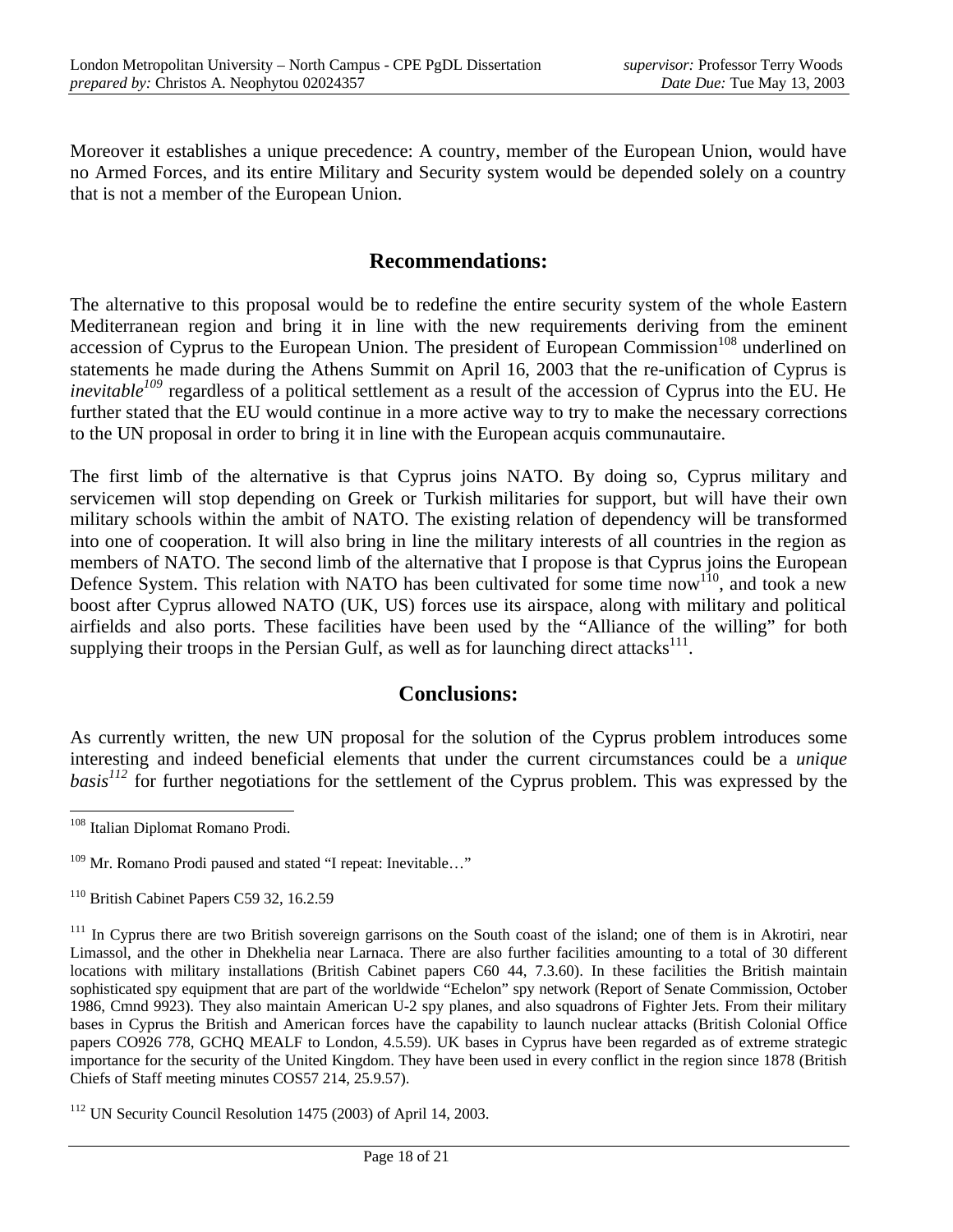Moreover it establishes a unique precedence: A country, member of the European Union, would have no Armed Forces, and its entire Military and Security system would be depended solely on a country that is not a member of the European Union.

### **Recommendations:**

The alternative to this proposal would be to redefine the entire security system of the whole Eastern Mediterranean region and bring it in line with the new requirements deriving from the eminent accession of Cyprus to the European Union. The president of European Commission<sup>108</sup> underlined on statements he made during the Athens Summit on April 16, 2003 that the re-unification of Cyprus is *inevitable<sup>109</sup>* regardless of a political settlement as a result of the accession of Cyprus into the EU. He further stated that the EU would continue in a more active way to try to make the necessary corrections to the UN proposal in order to bring it in line with the European acquis communautaire.

The first limb of the alternative is that Cyprus joins NATO. By doing so, Cyprus military and servicemen will stop depending on Greek or Turkish militaries for support, but will have their own military schools within the ambit of NATO. The existing relation of dependency will be transformed into one of cooperation. It will also bring in line the military interests of all countries in the region as members of NATO. The second limb of the alternative that I propose is that Cyprus joins the European Defence System. This relation with NATO has been cultivated for some time now<sup>110</sup>, and took a new boost after Cyprus allowed NATO (UK, US) forces use its airspace, along with military and political airfields and also ports. These facilities have been used by the "Alliance of the willing" for both supplying their troops in the Persian Gulf, as well as for launching direct attacks $^{111}$ .

### **Conclusions:**

As currently written, the new UN proposal for the solution of the Cyprus problem introduces some interesting and indeed beneficial elements that under the current circumstances could be a *unique basis*<sup>112</sup> for further negotiations for the settlement of the Cyprus problem. This was expressed by the

<sup>-</sup><sup>108</sup> Italian Diplomat Romano Prodi.

<sup>109</sup> Mr. Romano Prodi paused and stated "I repeat: Inevitable…"

<sup>&</sup>lt;sup>110</sup> British Cabinet Papers C59 32, 16.2.59

<sup>&</sup>lt;sup>111</sup> In Cyprus there are two British sovereign garrisons on the South coast of the island; one of them is in Akrotiri, near Limassol, and the other in Dhekhelia near Larnaca. There are also further facilities amounting to a total of 30 different locations with military installations (British Cabinet papers C60 44, 7.3.60). In these facilities the British maintain sophisticated spy equipment that are part of the worldwide "Echelon" spy network (Report of Senate Commission, October 1986, Cmnd 9923). They also maintain American U-2 spy planes, and also squadrons of Fighter Jets. From their military bases in Cyprus the British and American forces have the capability to launch nuclear attacks (British Colonial Office papers CO926 778, GCHQ MEALF to London, 4.5.59). UK bases in Cyprus have been regarded as of extreme strategic importance for the security of the United Kingdom. They have been used in every conflict in the region since 1878 (British Chiefs of Staff meeting minutes COS57 214, 25.9.57).

<sup>112</sup> UN Security Council Resolution 1475 (2003) of April 14, 2003.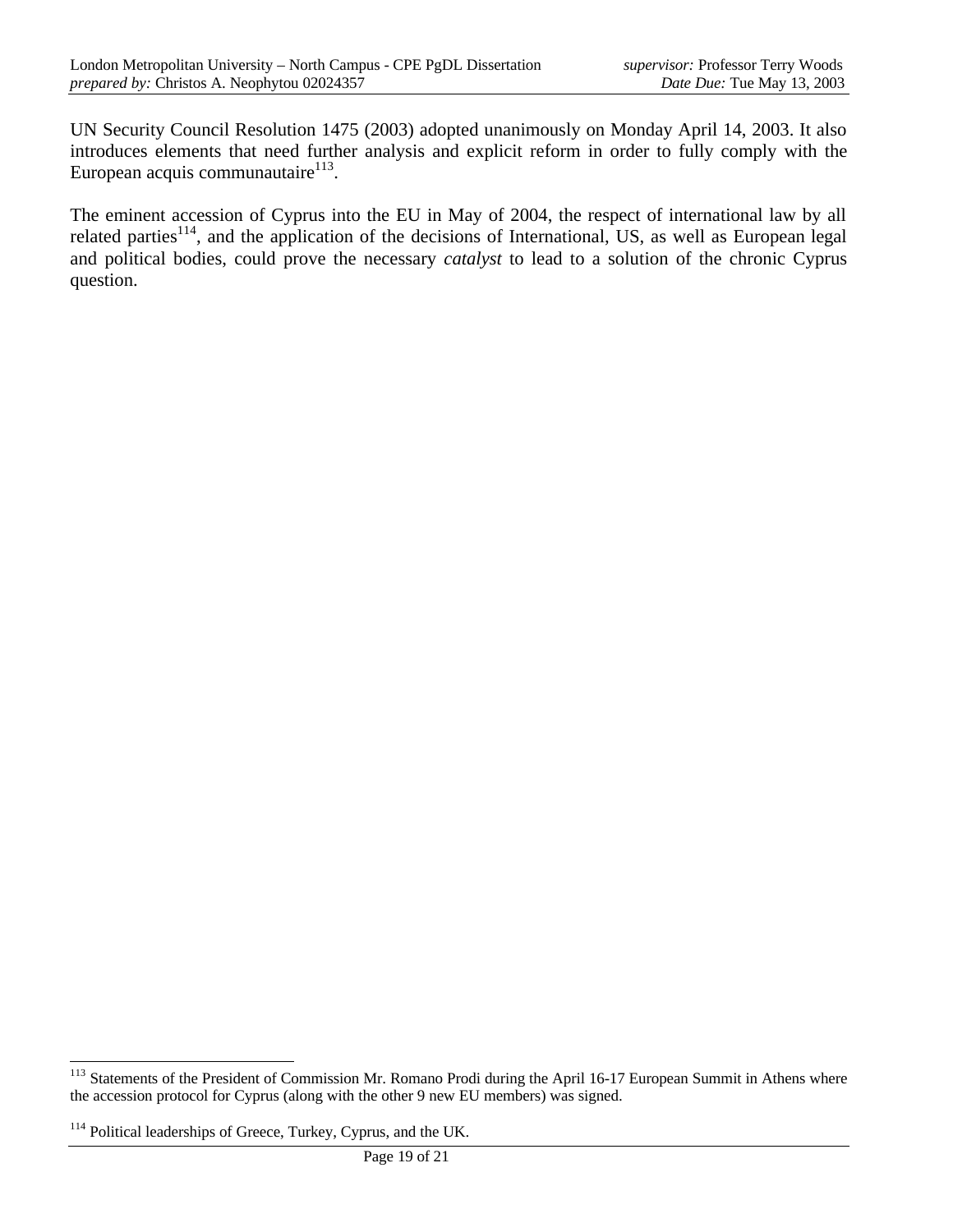UN Security Council Resolution 1475 (2003) adopted unanimously on Monday April 14, 2003. It also introduces elements that need further analysis and explicit reform in order to fully comply with the European acquis communautaire<sup>113</sup>.

The eminent accession of Cyprus into the EU in May of 2004, the respect of international law by all related parties<sup>114</sup>, and the application of the decisions of International, US, as well as European legal and political bodies, could prove the necessary *catalyst* to lead to a solution of the chronic Cyprus question.

-

<sup>&</sup>lt;sup>113</sup> Statements of the President of Commission Mr. Romano Prodi during the April 16-17 European Summit in Athens where the accession protocol for Cyprus (along with the other 9 new EU members) was signed.

<sup>&</sup>lt;sup>114</sup> Political leaderships of Greece, Turkey, Cyprus, and the UK.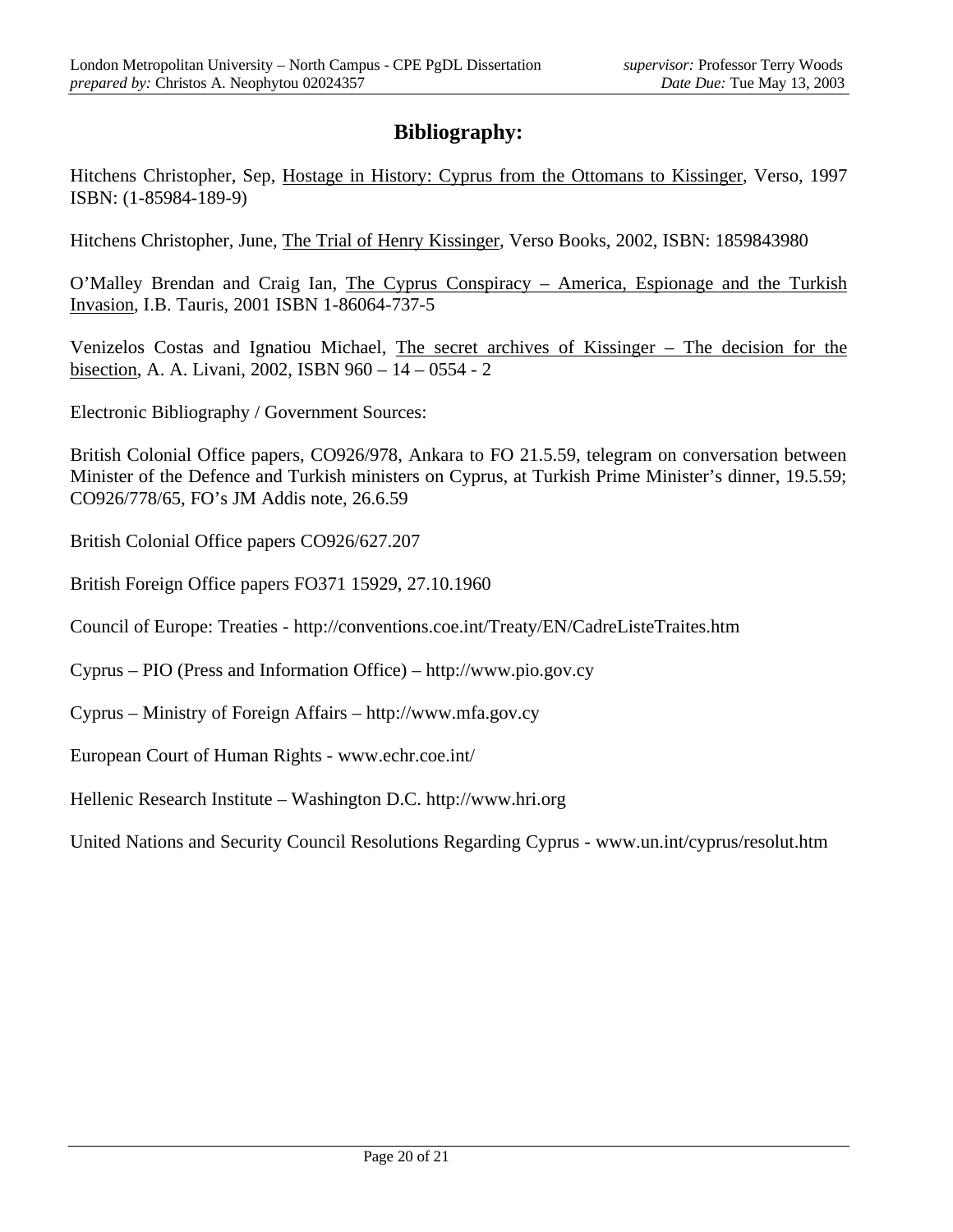### **Bibliography:**

Hitchens Christopher, Sep, Hostage in History: Cyprus from the Ottomans to Kissinger, Verso, 1997 ISBN: (1-85984-189-9)

Hitchens Christopher, June, The Trial of Henry Kissinger, Verso Books, 2002, ISBN: 1859843980

O'Malley Brendan and Craig Ian, The Cyprus Conspiracy – America, Espionage and the Turkish Invasion, I.B. Tauris, 2001 ISBN 1-86064-737-5

Venizelos Costas and Ignatiou Michael, The secret archives of Kissinger – The decision for the bisection, A. A. Livani, 2002, ISBN 960 – 14 – 0554 - 2

Electronic Bibliography / Government Sources:

British Colonial Office papers, CO926/978, Ankara to FO 21.5.59, telegram on conversation between Minister of the Defence and Turkish ministers on Cyprus, at Turkish Prime Minister's dinner, 19.5.59; CO926/778/65, FO's JM Addis note, 26.6.59

British Colonial Office papers CO926/627.207

British Foreign Office papers FO371 15929, 27.10.1960

Council of Europe: Treaties - http://conventions.coe.int/Treaty/EN/CadreListeTraites.htm

Cyprus – PIO (Press and Information Office) – http://www.pio.gov.cy

Cyprus – Ministry of Foreign Affairs – http://www.mfa.gov.cy

European Court of Human Rights - www.echr.coe.int/

Hellenic Research Institute – Washington D.C. http://www.hri.org

United Nations and Security Council Resolutions Regarding Cyprus - www.un.int/cyprus/resolut.htm